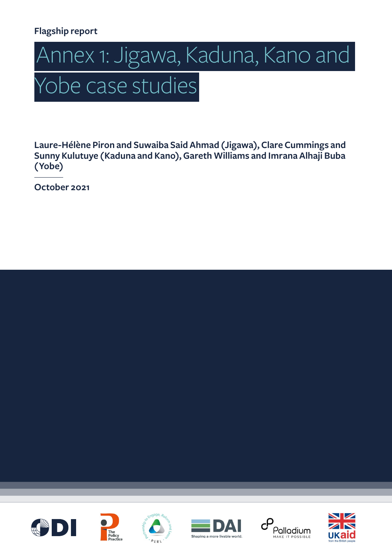# **Flagship report**



**Laure-Hélène Piron and Suwaiba Said Ahmad (Jigawa), Clare Cummings and Sunny Kulutuye (Kaduna and Kano), Gareth Williams and Imrana Alhaji Buba (Yobe)**

**October 2021**











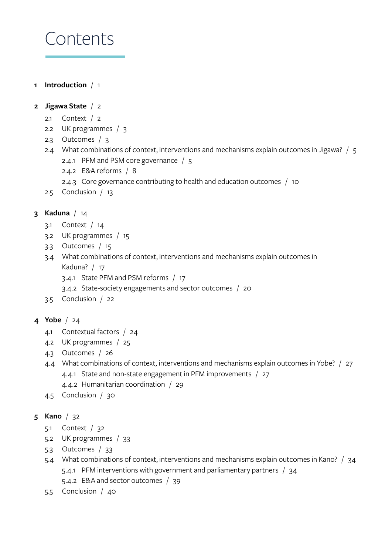# Contents

**1 Introduction** / 1

#### **2 Jigawa State** / 2

- 2.1 Context / 2
- 2.2 UK programmes / 3
- 2.3 Outcomes / 3
- 2.4 What combinations of context, interventions and mechanisms explain outcomes in Jigawa? / 5 2.4.1 PFM and PSM core governance / 5
	- 2.4.2 E&A reforms / 8
	- 2.4.3 Core governance contributing to health and education outcomes / 10
- 2.5 Conclusion / 13

#### **3 Kaduna** / 14

- 3.1 Context / 14
- 3.2 UK programmes / 15
- 3.3 Outcomes / 15
- 3.4 What combinations of context, interventions and mechanisms explain outcomes in Kaduna? / 17
	- 3.4.1 State PFM and PSM reforms / 17
	- 3.4.2 State-society engagements and sector outcomes / 20
- 3.5 Conclusion / 22

#### **4 Yobe** / 24

- 4.1 Contextual factors / 24
- 4.2 UK programmes / 25
- 4.3 Outcomes / 26
- 4.4 What combinations of context, interventions and mechanisms explain outcomes in Yobe? / 27 4.4.1 State and non-state engagement in PFM improvements / 27
	- 4.4.2 Humanitarian coordination / 29
- 4.5 Conclusion / 30

#### **5 Kano** / 32

- 5.1 Context / 32
- 5.2 UK programmes / 33
- 5.3 Outcomes / 33
- 5.4 What combinations of context, interventions and mechanisms explain outcomes in Kano? / 34 5.4.1 PFM interventions with government and parliamentary partners / 34
	- 5.4.2 E&A and sector outcomes / 39
- 5.5 Conclusion / 40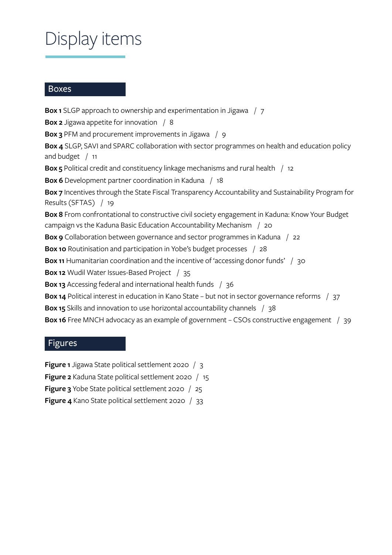# Display items

#### Boxes

**Box 1** SLGP approach to ownership and experimentation in Jigawa / 7 **Box 2** Jigawa appetite for innovation / 8 **Box 3** PFM and procurement improvements in Jigawa / 9 **Box 4** SLGP, SAVI and SPARC collaboration with sector programmes on health and education policy and budget / 11 **Box 5** Political credit and constituency linkage mechanisms and rural health / 12 **Box 6** Development partner coordination in Kaduna / 18 **Box 7** Incentives through the State Fiscal Transparency Accountability and Sustainability Program for Results (SFTAS) / 19 **Box 8** From confrontational to constructive civil society engagement in Kaduna: Know Your Budget campaign vs the Kaduna Basic Education Accountability Mechanism / 20 **Box 9** Collaboration between governance and sector programmes in Kaduna / 22 **Box 10** Routinisation and participation in Yobe's budget processes / 28 **Box 11** Humanitarian coordination and the incentive of 'accessing donor funds' / 30 **Box 12** Wudil Water Issues-Based Project / 35 **Box 13** Accessing federal and international health funds / 36 **Box 14** Political interest in education in Kano State – but not in sector governance reforms / 37 **Box 15** Skills and innovation to use horizontal accountability channels / 38 **Box 16** Free MNCH advocacy as an example of government – CSOs constructive engagement / 39

## Figures

**Figure 1** Jigawa State political settlement 2020 / 3

**Figure 2** Kaduna State political settlement 2020 / 15

**Figure 3** Yobe State political settlement 2020 / 25

**Figure 4** Kano State political settlement 2020 / 33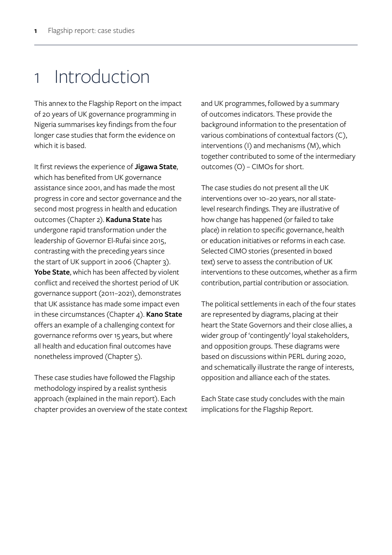# 1 Introduction

This annex to the Flagship Report on the impact of 20 years of UK governance programming in Nigeria summarises key findings from the four longer case studies that form the evidence on which it is based.

It first reviews the experience of **Jigawa State**, which has benefited from UK governance assistance since 2001, and has made the most progress in core and sector governance and the second most progress in health and education outcomes (Chapter 2). **Kaduna State** has undergone rapid transformation under the leadership of Governor El-Rufai since 2015, contrasting with the preceding years since the start of UK support in 2006 (Chapter 3). **Yobe State**, which has been affected by violent conflict and received the shortest period of UK governance support (2011–2021), demonstrates that UK assistance has made some impact even in these circumstances (Chapter 4). **Kano State** offers an example of a challenging context for governance reforms over 15 years, but where all health and education final outcomes have nonetheless improved (Chapter 5).

These case studies have followed the Flagship methodology inspired by a realist synthesis approach (explained in the main report). Each chapter provides an overview of the state context and UK programmes, followed by a summary of outcomes indicators. These provide the background information to the presentation of various combinations of contextual factors (C), interventions (I) and mechanisms (M), which together contributed to some of the intermediary outcomes (O) – CIMOs for short.

The case studies do not present all the UK interventions over 10–20 years, nor all statelevel research findings. They are illustrative of how change has happened (or failed to take place) in relation to specific governance, health or education initiatives or reforms in each case. Selected CIMO stories (presented in boxed text) serve to assess the contribution of UK interventions to these outcomes, whether as a firm contribution, partial contribution or association.

The political settlements in each of the four states are represented by diagrams, placing at their heart the State Governors and their close allies, a wider group of 'contingently' loyal stakeholders, and opposition groups. These diagrams were based on discussions within PERL during 2020, and schematically illustrate the range of interests, opposition and alliance each of the states.

Each State case study concludes with the main implications for the Flagship Report.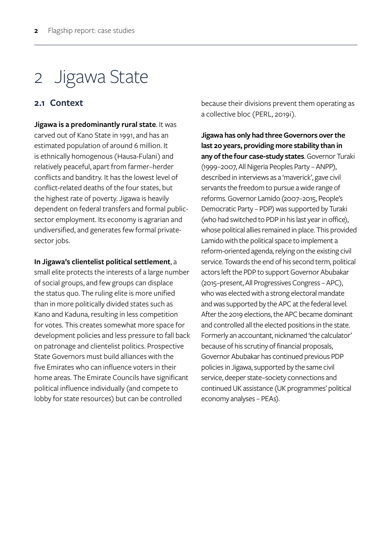# 2 Jigawa State

# **2.1 Context**

**Jigawa is a predominantly rural state**. It was carved out of Kano State in 1991, and has an estimated population of around 6 million. It is ethnically homogenous (Hausa-Fulani) and relatively peaceful, apart from farmer–herder conflicts and banditry. It has the lowest level of conflict-related deaths of the four states, but the highest rate of poverty. Jigawa is heavily dependent on federal transfers and formal publicsector employment. Its economy is agrarian and undiversified, and generates few formal privatesector jobs.

#### **In Jigawa's clientelist political settlement**, a

small elite protects the interests of a large number of social groups, and few groups can displace the status quo. The ruling elite is more unified than in more politically divided states such as Kano and Kaduna, resulting in less competition for votes. This creates somewhat more space for development policies and less pressure to fall back on patronage and clientelist politics. Prospective State Governors must build alliances with the five Emirates who can influence voters in their home areas. The Emirate Councils have significant political influence individually (and compete to lobby for state resources) but can be controlled

because their divisions prevent them operating as a collective bloc (PERL, 2019i).

**Jigawa has only had three Governors over the last 20 years, providing more stability than in any of the four case-study states**. Governor Turaki (1999–2007, All Nigeria Peoples Party – ANPP), described in interviews as a 'maverick', gave civil servants the freedom to pursue a wide range of reforms. Governor Lamido (2007–2015, People's Democratic Party – PDP) was supported by Turaki (who had switched to PDP in his last year in office), whose political allies remained in place. This provided Lamido with the political space to implement a reform-oriented agenda, relying on the existing civil service. Towards the end of his second term, political actors left the PDP to support Governor Abubakar (2015–present, All Progressives Congress – APC), who was elected with a strong electoral mandate and was supported by the APC at the federal level. After the 2019 elections, the APC became dominant and controlled all the elected positions in the state. Formerly an accountant, nicknamed 'the calculator' because of his scrutiny of financial proposals, Governor Abubakar has continued previous PDP policies in Jigawa, supported by the same civil service, deeper state–society connections and continued UK assistance (UK programmes' political economy analyses – PEAs).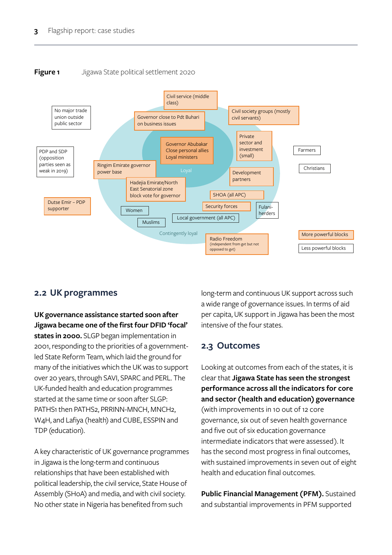



## **2.2 UK programmes**

**UK governance assistance started soon after Jigawa became one of the first four DFID 'focal' states in 2000.** SLGP began implementation in 2001, responding to the priorities of a governmentled State Reform Team, which laid the ground for many of the initiatives which the UK was to support over 20 years, through SAVI, SPARC and PERL. The UK-funded health and education programmes started at the same time or soon after SLGP: PATHS1 then PATHS2, PRRINN-MNCH, MNCH2, W4H, and Lafiya (health) and CUBE, ESSPIN and TDP (education).

A key characteristic of UK governance programmes in Jigawa is the long-term and continuous relationships that have been established with political leadership, the civil service, State House of Assembly (SHoA) and media, and with civil society. No other state in Nigeria has benefited from such

long-term and continuous UK support across such a wide range of governance issues. In terms of aid per capita, UK support in Jigawa has been the most intensive of the four states.

#### **2.3 Outcomes**

Looking at outcomes from each of the states, it is clear that **Jigawa State has seen the strongest performance across all the indicators for core and sector (health and education) governance** (with improvements in 10 out of 12 core governance, six out of seven health governance and five out of six education governance intermediate indicators that were assessed). It has the second most progress in final outcomes, with sustained improvements in seven out of eight health and education final outcomes.

**Public Financial Management (PFM).** Sustained and substantial improvements in PFM supported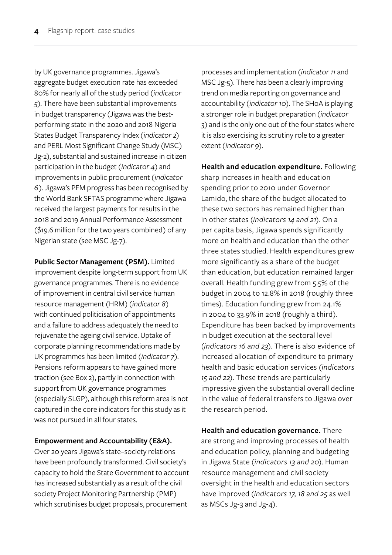by UK governance programmes. Jigawa's aggregate budget execution rate has exceeded 80% for nearly all of the study period (*indicator 5*). There have been substantial improvements in budget transparency (Jigawa was the bestperforming state in the 2020 and 2018 Nigeria States Budget Transparency Index (*indicator 2*) and PERL Most Significant Change Study (MSC) Jg-2), substantial and sustained increase in citizen participation in the budget (*indicator 4*) and improvements in public procurement (*indicator 6*). Jigawa's PFM progress has been recognised by the World Bank SFTAS programme where Jigawa received the largest payments for results in the 2018 and 2019 Annual Performance Assessment (\$19.6 million for the two years combined) of any Nigerian state (see MSC Jg-7).

**Public Sector Management (PSM).** Limited improvement despite long-term support from UK governance programmes. There is no evidence of improvement in central civil service human resource management (HRM) (*indicator 8*) with continued politicisation of appointments and a failure to address adequately the need to rejuvenate the ageing civil service. Uptake of corporate planning recommendations made by UK programmes has been limited (*indicator 7*). Pensions reform appears to have gained more traction (see Box 2), partly in connection with support from UK governance programmes (especially SLGP), although this reform area is not captured in the core indicators for this study as it was not pursued in all four states.

#### **Empowerment and Accountability (E&A).**

Over 20 years Jigawa's state–society relations have been profoundly transformed. Civil society's capacity to hold the State Government to account has increased substantially as a result of the civil society Project Monitoring Partnership (PMP) which scrutinises budget proposals, procurement

processes and implementation (*indicator 11* and MSC Jg-5). There has been a clearly improving trend on media reporting on governance and accountability (*indicator 10*). The SHoA is playing a stronger role in budget preparation (*indicator 3*) and is the only one out of the four states where it is also exercising its scrutiny role to a greater extent (*indicator 9*).

**Health and education expenditure.** Following sharp increases in health and education spending prior to 2010 under Governor Lamido, the share of the budget allocated to these two sectors has remained higher than in other states (*indicators 14 and 21*). On a per capita basis, Jigawa spends significantly more on health and education than the other three states studied. Health expenditures grew more significantly as a share of the budget than education, but education remained larger overall. Health funding grew from 5.5% of the budget in 2004 to 12.8% in 2018 (roughly three times). Education funding grew from 24.1% in 2004 to 33.9% in 2018 (roughly a third). Expenditure has been backed by improvements in budget execution at the sectoral level (*indicators 16 and 23*). There is also evidence of increased allocation of expenditure to primary health and basic education services (*indicators 15 and 22*). These trends are particularly impressive given the substantial overall decline in the value of federal transfers to Jigawa over the research period.

**Health and education governance.** There are strong and improving processes of health and education policy, planning and budgeting in Jigawa State (*indicators 13 and 20*). Human resource management and civil society oversight in the health and education sectors have improved (*indicators 17, 18 and 25* as well as MSCs Jg-3 and Jg-4).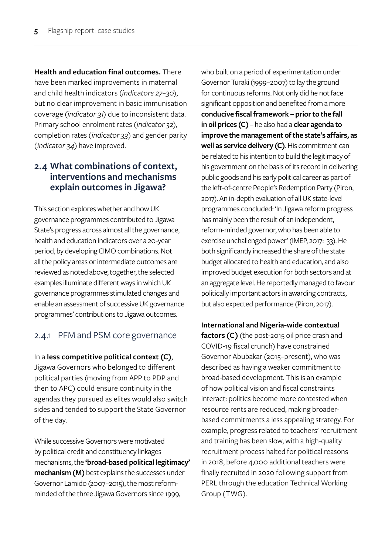**Health and education final outcomes.** There have been marked improvements in maternal and child health indicators (*indicators 27–30*), but no clear improvement in basic immunisation coverage (*indicator 31*) due to inconsistent data. Primary school enrolment rates (*indicator 32*), completion rates (*indicator 33*) and gender parity (*indicator 34*) have improved.

## **2.4 What combinations of context, interventions and mechanisms explain outcomes in Jigawa?**

This section explores whether and how UK governance programmes contributed to Jigawa State's progress across almost all the governance, health and education indicators over a 20-year period, by developing CIMO combinations. Not all the policy areas or intermediate outcomes are reviewed as noted above; together, the selected examples illuminate different ways in which UK governance programmes stimulated changes and enable an assessment of successive UK governance programmes' contributions to Jigawa outcomes.

# 2.4.1 PFM and PSM core governance

In a **less competitive political context (C)**, Jigawa Governors who belonged to different political parties (moving from APP to PDP and then to APC) could ensure continuity in the agendas they pursued as elites would also switch sides and tended to support the State Governor of the day.

While successive Governors were motivated by political credit and constituency linkages mechanisms, the **'broad-based political legitimacy' mechanism (M)** best explains the successes under Governor Lamido (2007–2015), the most reformminded of the three Jigawa Governors since 1999,

who built on a period of experimentation under Governor Turaki (1999–2007) to lay the ground for continuous reforms. Not only did he not face significant opposition and benefited from a more **conducive fiscal framework – prior to the fall in oil prices (C)** – he also had a **clear agenda to improve the management of the state's affairs, as well as service delivery (C)**. His commitment can be related to his intention to build the legitimacy of his government on the basis of its record in delivering public goods and his early political career as part of the left-of-centre People's Redemption Party (Piron, 2017). An in-depth evaluation of all UK state-level programmes concluded: 'In Jigawa reform progress has mainly been the result of an independent, reform-minded governor, who has been able to exercise unchallenged power' (IMEP, 2017: 33). He both significantly increased the share of the state budget allocated to health and education, and also improved budget execution for both sectors and at an aggregate level. He reportedly managed to favour politically important actors in awarding contracts, but also expected performance (Piron, 2017).

**International and Nigeria-wide contextual factors (C)** (the post-2015 oil price crash and COVID-19 fiscal crunch) have constrained Governor Abubakar (2015–present), who was described as having a weaker commitment to broad-based development. This is an example of how political vision and fiscal constraints interact: politics become more contested when resource rents are reduced, making broaderbased commitments a less appealing strategy. For example, progress related to teachers' recruitment and training has been slow, with a high-quality recruitment process halted for political reasons in 2018, before 4,000 additional teachers were finally recruited in 2020 following support from PERL through the education Technical Working Group (TWG).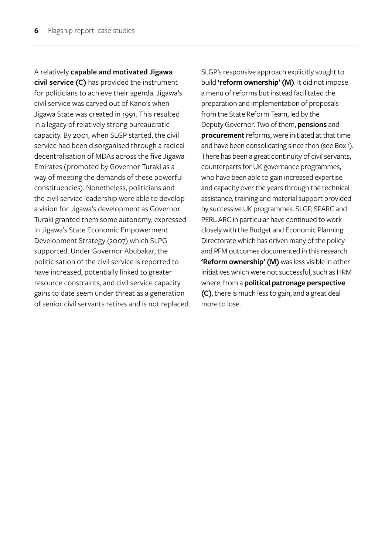A relatively **capable and motivated Jigawa civil service (C)** has provided the instrument for politicians to achieve their agenda. Jigawa's civil service was carved out of Kano's when Jigawa State was created in 1991. This resulted in a legacy of relatively strong bureaucratic capacity. By 2001, when SLGP started, the civil service had been disorganised through a radical decentralisation of MDAs across the five Jigawa Emirates (promoted by Governor Turaki as a way of meeting the demands of these powerful constituencies). Nonetheless, politicians and the civil service leadership were able to develop a vision for Jigawa's development as Governor Turaki granted them some autonomy, expressed in Jigawa's State Economic Empowerment Development Strategy (2007) which SLPG supported. Under Governor Abubakar, the politicisation of the civil service is reported to have increased, potentially linked to greater resource constraints, and civil service capacity gains to date seem under threat as a generation of senior civil servants retires and is not replaced. SLGP's responsive approach explicitly sought to build **'reform ownership' (M)**. It did not impose a menu of reforms but instead facilitated the preparation and implementation of proposals from the State Reform Team, led by the Deputy Governor. Two of them, **pensions** and **procurement** reforms, were initiated at that time and have been consolidating since then (see Box 1). There has been a great continuity of civil servants, counterparts for UK governance programmes, who have been able to gain increased expertise and capacity over the years through the technical assistance, training and material support provided by successive UK programmes. SLGP, SPARC and PERL-ARC in particular have continued to work closely with the Budget and Economic Planning Directorate which has driven many of the policy and PFM outcomes documented in this research. **'Reform ownership'(M)** was less visible in other initiatives which were not successful, such as HRM where, from a **political patronage perspective (C)**, there is much less to gain, and a great deal more to lose.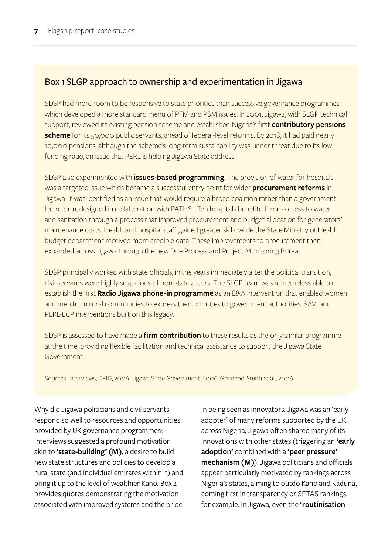# Box 1 SLGP approach to ownership and experimentation in Jigawa

SLGP had more room to be responsive to state priorities than successive governance programmes which developed a more standard menu of PFM and PSM issues. In 2001, Jigawa, with SLGP technical support, reviewed its existing pension scheme and established Nigeria's first **contributory pensions scheme** for its 50,000 public servants, ahead of federal-level reforms. By 2018, it had paid nearly 10,000 pensions, although the scheme's long-term sustainability was under threat due to its low funding ratio, an issue that PERL is helping Jigawa State address.

SLGP also experimented with **issues-based programming**. The provision of water for hospitals was a targeted issue which became a successful entry point for wider **procurement reforms** in Jigawa. It was identified as an issue that would require a broad coalition rather than a governmentled reform, designed in collaboration with PATHS1. Ten hospitals benefited from access to water and sanitation through a process that improved procurement and budget allocation for generators' maintenance costs. Health and hospital staff gained greater skills while the State Ministry of Health budget department received more credible data. These improvements to procurement then expanded across Jigawa through the new Due Process and Project Monitoring Bureau.

SLGP principally worked with state officials; in the years immediately after the political transition, civil servants were highly suspicious of non-state actors. The SLGP team was nonetheless able to establish the first **Radio Jigawa phone-in programme** as an E&A intervention that enabled women and men from rural communities to express their priorities to government authorities. SAVI and PERL-ECP interventions built on this legacy.

SLGP is assessed to have made a **firm contribution** to these results as the only similar programme at the time, providing flexible facilitation and technical assistance to support the Jigawa State Government.

Sources: Interviews; DFID, 2006; Jigawa State Government, 2006; Gbadebo-Smith et al., 2006

Why did Jigawa politicians and civil servants respond so well to resources and opportunities provided by UK governance programmes? Interviews suggested a profound motivation akin to **'state-building' (M)**, a desire to build new state structures and policies to develop a rural state (and individual emirates within it) and bring it up to the level of wealthier Kano. Box 2 provides quotes demonstrating the motivation associated with improved systems and the pride

in being seen as innovators. Jigawa was an 'early adopter' of many reforms supported by the UK across Nigeria; Jigawa often shared many of its innovations with other states (triggering an **'early adoption'** combined with a **'peer pressure' mechanism (M)**). Jigawa politicians and officials appear particularly motivated by rankings across Nigeria's states, aiming to outdo Kano and Kaduna, coming first in transparency or SFTAS rankings, for example. In Jigawa, even the **'routinisation**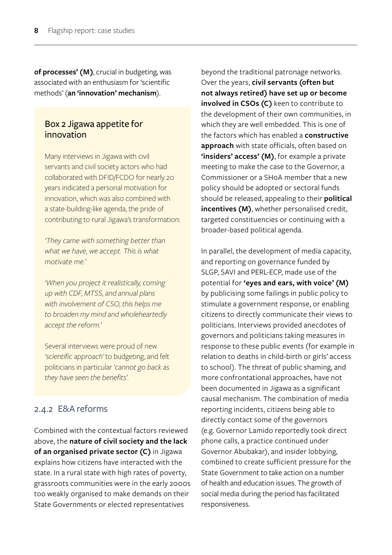**of processes' (M)**, crucial in budgeting, was associated with an enthusiasm for 'scientific methods' (**an 'innovation' mechanism**).

## Box 2 Jigawa appetite for innovation

Many interviews in Jigawa with civil servants and civil society actors who had collaborated with DFID/FCDO for nearly 20 years indicated a personal motivation for innovation, which was also combined with a state-building-like agenda, the pride of contributing to rural Jigawa's transformation:

*'They came with something better than what we have, we accept. This is what motivate me.'* 

*'When you project it realistically, coming up with CDF, MTSS, and annual plans with involvement of CSO, this helps me to broaden my mind and wholeheartedly accept the reform.'*

Several interviews were proud of new *'scientific approach'* to budgeting, and felt politicians in particular *'cannot go back as they have seen the benefits*'.

# 2.4.2 E&A reforms

Combined with the contextual factors reviewed above, the **nature of civil society and the lack of an organised private sector (C)** in Jigawa explains how citizens have interacted with the state. In a rural state with high rates of poverty, grassroots communities were in the early 2000s too weakly organised to make demands on their State Governments or elected representatives

beyond the traditional patronage networks. Over the years, **civil servants (often but not always retired) have set up or become involved in CSOs (C)** keen to contribute to the development of their own communities, in which they are well embedded. This is one of the factors which has enabled a **constructive approach** with state officials, often based on **'insiders' access' (M)**, for example a private meeting to make the case to the Governor, a Commissioner or a SHoA member that a new policy should be adopted or sectoral funds should be released, appealing to their **political incentives (M)**, whether personalised credit, targeted constituencies or continuing with a broader-based political agenda.

In parallel, the development of media capacity, and reporting on governance funded by SLGP, SAVI and PERL-ECP, made use of the potential for **'eyes and ears, with voice' (M)** by publicising some failings in public policy to stimulate a government response, or enabling citizens to directly communicate their views to politicians. Interviews provided anecdotes of governors and politicians taking measures in response to these public events (for example in relation to deaths in child-birth or girls' access to school). The threat of public shaming, and more confrontational approaches, have not been documented in Jigawa as a significant causal mechanism. The combination of media reporting incidents, citizens being able to directly contact some of the governors (e.g. Governor Lamido reportedly took direct phone calls, a practice continued under Governor Abubakar), and insider lobbying, combined to create sufficient pressure for the State Government to take action on a number of health and education issues. The growth of social media during the period has facilitated responsiveness.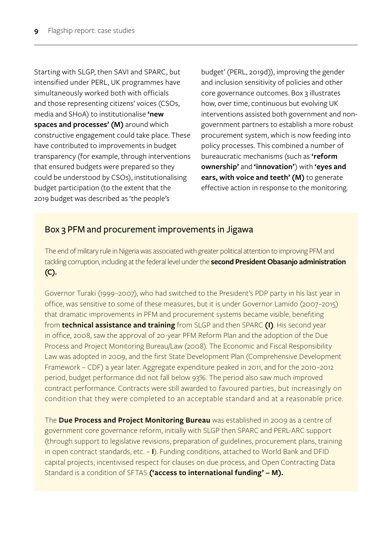Starting with SLGP, then SAVI and SPARC, but intensified under PERL, UK programmes have simultaneously worked both with officials and those representing citizens' voices (CSOs, media and SHoA) to institutionalise **'new spaces and processes' (M)** around which constructive engagement could take place. These have contributed to improvements in budget transparency (for example, through interventions that ensured budgets were prepared so they could be understood by CSOs), institutionalising budget participation (to the extent that the 2019 budget was described as 'the people's

budget' (PERL, 2019d)), improving the gender and inclusion sensitivity of policies and other core governance outcomes. Box 3 illustrates how, over time, continuous but evolving UK interventions assisted both government and nongovernment partners to establish a more robust procurement system, which is now feeding into policy processes. This combined a number of bureaucratic mechanisms (such as **'reform ownership'** and **'innovation'**) with **'eyes and ears, with voice and teeth' (M)** to generate effective action in response to the monitoring.

## Box 3 PFM and procurement improvements in Jigawa

The end of military rule in Nigeria was associated with greater political attention to improving PFM and tackling corruption, including at the federal level under the **second President Obasanjo administration (C).** 

Governor Turaki (1999–2007), who had switched to the President's PDP party in his last year in office, was sensitive to some of these measures, but it is under Governor Lamido (2007–2015) that dramatic improvements in PFM and procurement systems became visible, benefiting from **technical assistance and training** from SLGP and then SPARC **(I)**. His second year in office, 2008, saw the approval of 20-year PFM Reform Plan and the adoption of the Due Process and Project Monitoring Bureau/Law (2008). The Economic and Fiscal Responsibility Law was adopted in 2009, and the first State Development Plan (Comprehensive Development Framework – CDF) a year later. Aggregate expenditure peaked in 2011, and for the 2010–2012 period, budget performance did not fall below 93%. The period also saw much improved contract performance. Contracts were still awarded to favoured parties, but increasingly on condition that they were completed to an acceptable standard and at a reasonable price.

The **Due Process and Project Monitoring Bureau** was established in 2009 as a centre of government core governance reform, initially with SLGP then SPARC and PERL-ARC support (through support to legislative revisions, preparation of guidelines, procurement plans, training in open contract standards, etc. – **I**). Funding conditions, attached to World Bank and DFID capital projects, incentivised respect for clauses on due process, and Open Contracting Data Standard is a condition of SFTAS **('access to international funding' – M).**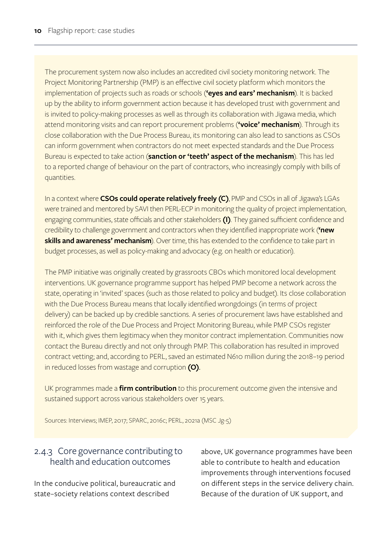The procurement system now also includes an accredited civil society monitoring network. The Project Monitoring Partnership (PMP) is an effective civil society platform which monitors the implementation of projects such as roads or schools (**'eyes and ears' mechanism**). It is backed up by the ability to inform government action because it has developed trust with government and is invited to policy-making processes as well as through its collaboration with Jigawa media, which attend monitoring visits and can report procurement problems (**'voice' mechanism**). Through its close collaboration with the Due Process Bureau, its monitoring can also lead to sanctions as CSOs can inform government when contractors do not meet expected standards and the Due Process Bureau is expected to take action (**sanction or 'teeth' aspect of the mechanism**). This has led to a reported change of behaviour on the part of contractors, who increasingly comply with bills of quantities.

In a context where **CSOs could operate relatively freely (C)**, PMP and CSOs in all of Jigawa's LGAs were trained and mentored by SAVI then PERL-ECP in monitoring the quality of project implementation, engaging communities, state officials and other stakeholders **(I)**. They gained sufficient confidence and credibility to challenge government and contractors when they identified inappropriate work (**'new skills and awareness' mechanism**). Over time, this has extended to the confidence to take part in budget processes, as well as policy-making and advocacy (e.g. on health or education).

The PMP initiative was originally created by grassroots CBOs which monitored local development interventions. UK governance programme support has helped PMP become a network across the state, operating in 'invited' spaces (such as those related to policy and budget). Its close collaboration with the Due Process Bureau means that locally identified wrongdoings (in terms of project delivery) can be backed up by credible sanctions. A series of procurement laws have established and reinforced the role of the Due Process and Project Monitoring Bureau, while PMP CSOs register with it, which gives them legitimacy when they monitor contract implementation. Communities now contact the Bureau directly and not only through PMP. This collaboration has resulted in improved contract vetting; and, according to PERL, saved an estimated N610 million during the 2018–19 period in reduced losses from wastage and corruption **(O)**.

UK programmes made a **firm contribution** to this procurement outcome given the intensive and sustained support across various stakeholders over 15 years.

Sources: Interviews; IMEP, 2017; SPARC, 2016c; PERL, 2021a (MSC Jg-5)

## 2.4.3 Core governance contributing to health and education outcomes

In the conducive political, bureaucratic and state–society relations context described

above, UK governance programmes have been able to contribute to health and education improvements through interventions focused on different steps in the service delivery chain. Because of the duration of UK support, and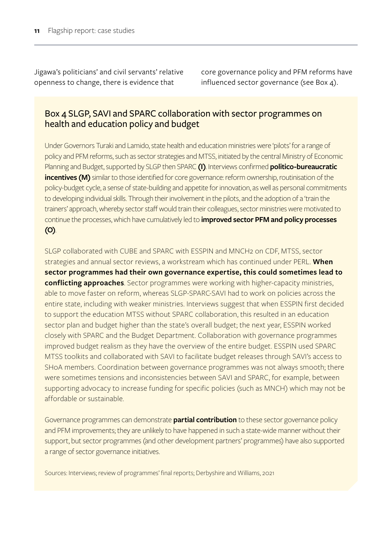Jigawa's politicians' and civil servants' relative openness to change, there is evidence that

core governance policy and PFM reforms have influenced sector governance (see Box 4).

## Box 4 SLGP, SAVI and SPARC collaboration with sector programmes on health and education policy and budget

Under Governors Turaki and Lamido, state health and education ministries were 'pilots' for a range of policy and PFM reforms, such as sector strategies and MTSS, initiated by the central Ministry of Economic Planning and Budget, supported by SLGP then SPARC **(I)**. Interviews confirmed **politico-bureaucratic incentives (M)** similar to those identified for core governance: reform ownership, routinisation of the policy-budget cycle, a sense of state-building and appetite for innovation, as well as personal commitments to developing individual skills. Through their involvement in the pilots, and the adoption of a 'train the trainers' approach, whereby sector staff would train their colleagues, sector ministries were motivated to continue the processes, which have cumulatively led to **improved sector PFM and policy processes (O)**.

SLGP collaborated with CUBE and SPARC with ESSPIN and MNCH2 on CDF, MTSS, sector strategies and annual sector reviews, a workstream which has continued under PERL. **When sector programmes had their own governance expertise, this could sometimes lead to conflicting approaches**. Sector programmes were working with higher-capacity ministries, able to move faster on reform, whereas SLGP-SPARC-SAVI had to work on policies across the entire state, including with weaker ministries. Interviews suggest that when ESSPIN first decided to support the education MTSS without SPARC collaboration, this resulted in an education sector plan and budget higher than the state's overall budget; the next year, ESSPIN worked closely with SPARC and the Budget Department. Collaboration with governance programmes improved budget realism as they have the overview of the entire budget. ESSPIN used SPARC MTSS toolkits and collaborated with SAVI to facilitate budget releases through SAVI's access to SHoA members. Coordination between governance programmes was not always smooth; there were sometimes tensions and inconsistencies between SAVI and SPARC, for example, between supporting advocacy to increase funding for specific policies (such as MNCH) which may not be affordable or sustainable.

Governance programmes can demonstrate **partial contribution** to these sector governance policy and PFM improvements; they are unlikely to have happened in such a state-wide manner without their support, but sector programmes (and other development partners' programmes) have also supported a range of sector governance initiatives.

Sources: Interviews; review of programmes' final reports; Derbyshire and Williams, 2021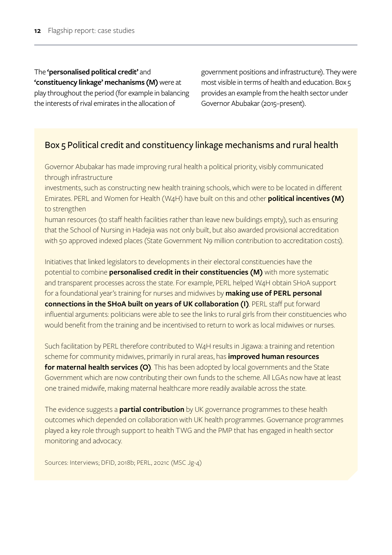The **'personalised political credit'** and **'constituency linkage' mechanisms (M)** were at play throughout the period (for example in balancing the interests of rival emirates in the allocation of

government positions and infrastructure). They were most visible in terms of health and education. Box 5 provides an example from the health sector under Governor Abubakar (2015–present).

## Box 5 Political credit and constituency linkage mechanisms and rural health

Governor Abubakar has made improving rural health a political priority, visibly communicated through infrastructure

investments, such as constructing new health training schools, which were to be located in different Emirates. PERL and Women for Health (W4H) have built on this and other **political incentives (M)** to strengthen

human resources (to staff health facilities rather than leave new buildings empty), such as ensuring that the School of Nursing in Hadejia was not only built, but also awarded provisional accreditation with 50 approved indexed places (State Government N9 million contribution to accreditation costs).

Initiatives that linked legislators to developments in their electoral constituencies have the potential to combine **personalised credit in their constituencies (M)** with more systematic and transparent processes across the state. For example, PERL helped W4H obtain SHoA support for a foundational year's training for nurses and midwives by **making use of PERL personal connections in the SHoA built on years of UK collaboration (I)**. PERL staff put forward influential arguments: politicians were able to see the links to rural girls from their constituencies who would benefit from the training and be incentivised to return to work as local midwives or nurses.

Such facilitation by PERL therefore contributed to W4H results in Jigawa: a training and retention scheme for community midwives, primarily in rural areas, has **improved human resources for maternal health services (O)**. This has been adopted by local governments and the State Government which are now contributing their own funds to the scheme. All LGAs now have at least one trained midwife, making maternal healthcare more readily available across the state.

The evidence suggests a **partial contribution** by UK governance programmes to these health outcomes which depended on collaboration with UK health programmes. Governance programmes played a key role through support to health TWG and the PMP that has engaged in health sector monitoring and advocacy.

Sources: Interviews; DFID, 2018b; PERL, 2021c (MSC Jg-4)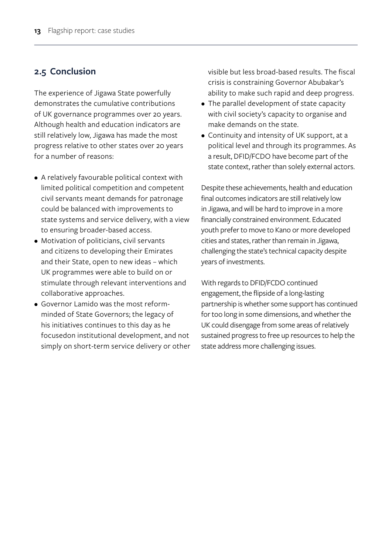### **2.5 Conclusion**

The experience of Jigawa State powerfully demonstrates the cumulative contributions of UK governance programmes over 20 years. Although health and education indicators are still relatively low, Jigawa has made the most progress relative to other states over 20 years for a number of reasons:

- A relatively favourable political context with limited political competition and competent civil servants meant demands for patronage could be balanced with improvements to state systems and service delivery, with a view to ensuring broader-based access.
- Motivation of politicians, civil servants and citizens to developing their Emirates and their State, open to new ideas – which UK programmes were able to build on or stimulate through relevant interventions and collaborative approaches.
- Governor Lamido was the most reformminded of State Governors; the legacy of his initiatives continues to this day as he focusedon institutional development, and not simply on short-term service delivery or other

visible but less broad-based results. The fiscal crisis is constraining Governor Abubakar's ability to make such rapid and deep progress.

- The parallel development of state capacity with civil society's capacity to organise and make demands on the state.
- Continuity and intensity of UK support, at a political level and through its programmes. As a result, DFID/FCDO have become part of the state context, rather than solely external actors.

Despite these achievements, health and education final outcomes indicators are still relatively low in Jigawa, and will be hard to improve in a more financially constrained environment. Educated youth prefer to move to Kano or more developed cities and states, rather than remain in Jigawa, challenging the state's technical capacity despite years of investments.

With regards to DFID/FCDO continued engagement, the flipside of a long-lasting partnership is whether some support has continued for too long in some dimensions, and whether the UK could disengage from some areas of relatively sustained progress to free up resources to help the state address more challenging issues.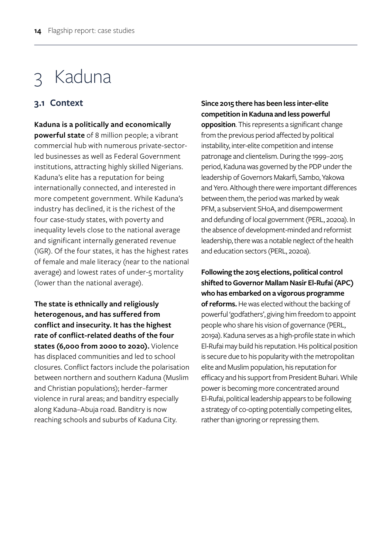# 3 Kaduna

# **3.1 Context**

**Kaduna is a politically and economically powerful state** of 8 million people; a vibrant commercial hub with numerous private-sectorled businesses as well as Federal Government institutions, attracting highly skilled Nigerians. Kaduna's elite has a reputation for being internationally connected, and interested in more competent government. While Kaduna's industry has declined, it is the richest of the four case-study states, with poverty and inequality levels close to the national average and significant internally generated revenue (IGR). Of the four states, it has the highest rates of female and male literacy (near to the national average) and lowest rates of under-5 mortality (lower than the national average).

**The state is ethnically and religiously heterogenous, and has suffered from conflict and insecurity. It has the highest rate of conflict-related deaths of the four states (6,000 from 2000 to 2020).** Violence has displaced communities and led to school closures. Conflict factors include the polarisation between northern and southern Kaduna (Muslim and Christian populations); herder–farmer violence in rural areas; and banditry especially along Kaduna–Abuja road. Banditry is now reaching schools and suburbs of Kaduna City.

**Since 2015 there has been less inter-elite competition in Kaduna and less powerful opposition**. This represents a significant change from the previous period affected by political instability, inter-elite competition and intense patronage and clientelism. During the 1999–2015 period, Kaduna was governed by the PDP under the leadership of Governors Makarfi, Sambo, Yakowa and Yero. Although there were important differences between them, the period was marked by weak PFM, a subservient SHoA, and disempowerment and defunding of local government (PERL, 2020a). In the absence of development-minded and reformist leadership, there was a notable neglect of the health and education sectors (PERL, 2020a).

**Following the 2015 elections, political control shifted to Governor Mallam Nasir El-Rufai (APC) who has embarked on a vigorous programme of reforms.** He was elected without the backing of powerful 'godfathers', giving him freedom to appoint people who share his vision of governance (PERL, 2019a). Kaduna serves as a high-profile state in which El-Rufai may build his reputation. His political position is secure due to his popularity with the metropolitan elite and Muslim population, his reputation for efficacy and his support from President Buhari. While power is becoming more concentrated around El-Rufai, political leadership appears to be following a strategy of co-opting potentially competing elites, rather than ignoring or repressing them.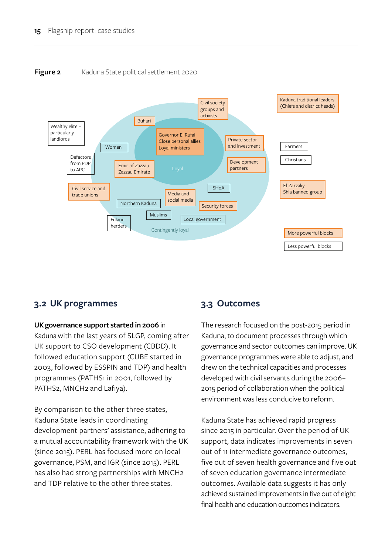**Figure 2** Kaduna State political settlement 2020



# **3.2 UK programmes**

# **UK governance support started in 2006** in

Kaduna with the last years of SLGP, coming after UK support to CSO development (CBDD). It followed education support (CUBE started in 2003, followed by ESSPIN and TDP) and health programmes (PATHS1 in 2001, followed by PATHS2, MNCH2 and Lafiya).

By comparison to the other three states, Kaduna State leads in coordinating development partners' assistance, adhering to a mutual accountability framework with the UK (since 2015). PERL has focused more on local governance, PSM, and IGR (since 2015). PERL has also had strong partnerships with MNCH2 and TDP relative to the other three states.

# **3.3 Outcomes**

The research focused on the post-2015 period in Kaduna, to document processes through which governance and sector outcomes can improve. UK governance programmes were able to adjust, and drew on the technical capacities and processes developed with civil servants during the 2006– 2015 period of collaboration when the political environment was less conducive to reform.

Kaduna State has achieved rapid progress since 2015 in particular. Over the period of UK support, data indicates improvements in seven out of 11 intermediate governance outcomes, five out of seven health governance and five out of seven education governance intermediate outcomes. Available data suggests it has only achieved sustained improvements in five out of eight final health and education outcomes indicators.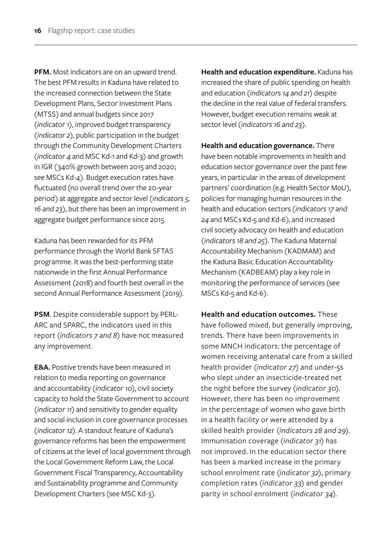**PFM.** Most indicators are on an upward trend. The best PFM results in Kaduna have related to the increased connection between the State Development Plans, Sector Investment Plans (MTSS) and annual budgets since 2017 *(indicator 1*), improved budget transparency (*indicator 2*), public participation in the budget through the Community Development Charters (*indicator 4* and MSC Kd-1 and Kd-3) and growth in IGR (340% growth between 2015 and 2020; see MSCs Kd-4). Budget execution rates have fluctuated (no overall trend over the 20-year period) at aggregate and sector level (*indicators 5, 16 and 23*), but there has been an improvement in aggregate budget performance since 2015.

Kaduna has been rewarded for its PFM performance through the World Bank SFTAS programme. It was the best-performing state nationwide in the first Annual Performance Assessment (2018) and fourth best overall in the second Annual Performance Assessment (2019).

**PSM**. Despite considerable support by PERL-ARC and SPARC, the indicators used in this report (*indicators 7 and 8*) have not measured any improvement.

**E&A.** Positive trends have been measured in relation to media reporting on governance and accountability (*indicator 10*), civil society capacity to hold the State Government to account (*indicator 11*) and sensitivity to gender equality and social inclusion in core governance processes (*indicator 12*). A standout feature of Kaduna's governance reforms has been the empowerment of citizens at the level of local government through the Local Government Reform Law, the Local Government Fiscal Transparency, Accountability and Sustainability programme and Community Development Charters (see MSC Kd-3).

**Health and education expenditure.** Kaduna has increased the share of public spending on health and education (*indicators 14 and 21*) despite the decline in the real value of federal transfers. However, budget execution remains weak at sector level (*indicators 16 and 23*).

**Health and education governance.** There have been notable improvements in health and education sector governance over the past few years, in particular in the areas of development partners' coordination (e.g. Health Sector MoU), policies for managing human resources in the health and education sectors (*indicators 17 and 24* and MSCs Kd-5 and Kd-6), and increased civil society advocacy on health and education (*indicators 18 and 25*). The Kaduna Maternal Accountability Mechanism (KADMAM) and the Kaduna Basic Education Accountability Mechanism (KADBEAM) play a key role in monitoring the performance of services (see MSCs Kd-5 and Kd-6).

**Health and education outcomes.** These have followed mixed, but generally improving, trends. There have been improvements in some MNCH indicators: the percentage of women receiving antenatal care from a skilled health provider (*indicator 27*) and under-5s who slept under an insecticide-treated net the night before the survey (*indicator 30*). However, there has been no improvement in the percentage of women who gave birth in a health facility or were attended by a skilled health provider (*indicators 28 and 29*). Immunisation coverage (*indicator 31*) has not improved. In the education sector there has been a marked increase in the primary school enrolment rate (*indicator 32*), primary completion rates (*indicator 33*) and gender parity in school enrolment (*indicator 34*).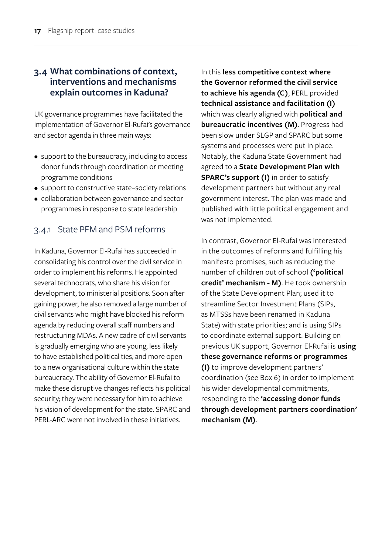## **3.4 What combinations of context, interventions and mechanisms explain outcomes in Kaduna?**

UK governance programmes have facilitated the implementation of Governor El-Rufai's governance and sector agenda in three main ways:

- support to the bureaucracy, including to access donor funds through coordination or meeting programme conditions
- support to constructive state–society relations
- collaboration between governance and sector programmes in response to state leadership

# 3.4.1 State PFM and PSM reforms

In Kaduna, Governor El-Rufai has succeeded in consolidating his control over the civil service in order to implement his reforms. He appointed several technocrats, who share his vision for development, to ministerial positions. Soon after gaining power, he also removed a large number of civil servants who might have blocked his reform agenda by reducing overall staff numbers and restructuring MDAs. A new cadre of civil servants is gradually emerging who are young, less likely to have established political ties, and more open to a new organisational culture within the state bureaucracy. The ability of Governor El-Rufai to make these disruptive changes reflects his political security; they were necessary for him to achieve his vision of development for the state. SPARC and PERL-ARC were not involved in these initiatives.

In this **less competitive context where the Governor reformed the civil service to achieve his agenda (C)**, PERL provided **technical assistance and facilitation (I)** which was clearly aligned with **political and bureaucratic incentives (M)**. Progress had been slow under SLGP and SPARC but some systems and processes were put in place. Notably, the Kaduna State Government had agreed to a **State Development Plan with SPARC's support (I)** in order to satisfy development partners but without any real government interest. The plan was made and published with little political engagement and was not implemented.

In contrast, Governor El-Rufai was interested in the outcomes of reforms and fulfilling his manifesto promises, such as reducing the number of children out of school **('political credit' mechanism - M)**. He took ownership of the State Development Plan; used it to streamline Sector Investment Plans (SIPs, as MTSSs have been renamed in Kaduna State) with state priorities; and is using SIPs to coordinate external support. Building on previous UK support, Governor El-Rufai is **using these governance reforms or programmes (I)** to improve development partners' coordination (see Box 6) in order to implement his wider developmental commitments, responding to the **'accessing donor funds through development partners coordination' mechanism (M)**.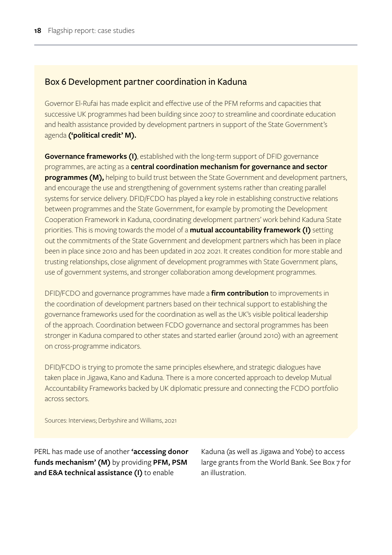# Box 6 Development partner coordination in Kaduna

Governor El-Rufai has made explicit and effective use of the PFM reforms and capacities that successive UK programmes had been building since 2007 to streamline and coordinate education and health assistance provided by development partners in support of the State Government's agenda **('political credit' M).**

**Governance frameworks (I)**, established with the long-term support of DFID governance programmes, are acting as a **central coordination mechanism for governance and sector programmes (M),** helping to build trust between the State Government and development partners, and encourage the use and strengthening of government systems rather than creating parallel systems for service delivery. DFID/FCDO has played a key role in establishing constructive relations between programmes and the State Government, for example by promoting the Development Cooperation Framework in Kaduna, coordinating development partners' work behind Kaduna State priorities. This is moving towards the model of a **mutual accountability framework (I)** setting out the commitments of the State Government and development partners which has been in place been in place since 2010 and has been updated in 202 2021. It creates condition for more stable and trusting relationships, close alignment of development programmes with State Government plans, use of government systems, and stronger collaboration among development programmes.

DFID/FCDO and governance programmes have made a **firm contribution** to improvements in the coordination of development partners based on their technical support to establishing the governance frameworks used for the coordination as well as the UK's visible political leadership of the approach. Coordination between FCDO governance and sectoral programmes has been stronger in Kaduna compared to other states and started earlier (around 2010) with an agreement on cross-programme indicators.

DFID/FCDO is trying to promote the same principles elsewhere, and strategic dialogues have taken place in Jigawa, Kano and Kaduna. There is a more concerted approach to develop Mutual Accountability Frameworks backed by UK diplomatic pressure and connecting the FCDO portfolio across sectors.

Sources: Interviews; Derbyshire and Williams, 2021

PERL has made use of another **'accessing donor funds mechanism' (M)** by providing **PFM, PSM and E&A technical assistance (I)** to enable

Kaduna (as well as Jigawa and Yobe) to access large grants from the World Bank. See Box 7 for an illustration.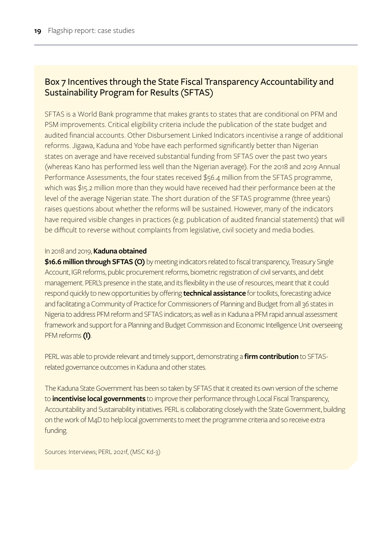# Box 7 Incentives through the State Fiscal Transparency Accountability and Sustainability Program for Results (SFTAS)

SFTAS is a World Bank programme that makes grants to states that are conditional on PFM and PSM improvements. Critical eligibility criteria include the publication of the state budget and audited financial accounts. Other Disbursement Linked Indicators incentivise a range of additional reforms. Jigawa, Kaduna and Yobe have each performed significantly better than Nigerian states on average and have received substantial funding from SFTAS over the past two years (whereas Kano has performed less well than the Nigerian average). For the 2018 and 2019 Annual Performance Assessments, the four states received \$56.4 million from the SFTAS programme, which was \$15.2 million more than they would have received had their performance been at the level of the average Nigerian state. The short duration of the SFTAS programme (three years) raises questions about whether the reforms will be sustained. However, many of the indicators have required visible changes in practices (e.g. publication of audited financial statements) that will be difficult to reverse without complaints from legislative, civil society and media bodies.

#### In 2018 and 2019, **Kaduna obtained**

**\$16.6 million through SFTAS (O)** by meeting indicators related to fiscal transparency, Treasury Single Account, IGR reforms, public procurement reforms, biometric registration of civil servants, and debt management. PERL's presence in the state, and its flexibility in the use of resources, meant that it could respond quickly to new opportunities by offering **technical assistance** for toolkits, forecasting advice and facilitating a Community of Practice for Commissioners of Planning and Budget from all 36 states in Nigeria to address PFM reform and SFTAS indicators; as well as in Kaduna a PFM rapid annual assessment framework and support for a Planning and Budget Commission and Economic Intelligence Unit overseeing PFM reforms **(I)**.

PERL was able to provide relevant and timely support, demonstrating a **firm contribution** to SFTASrelated governance outcomes in Kaduna and other states.

The Kaduna State Government has been so taken by SFTAS that it created its own version of the scheme to **incentivise local governments** to improve their performance through Local Fiscal Transparency, Accountability and Sustainability initiatives. PERL is collaborating closely with the State Government, building on the work of M4D to help local governments to meet the programme criteria and so receive extra funding.

Sources: Interviews; PERL 2021f, (MSC Kd-3)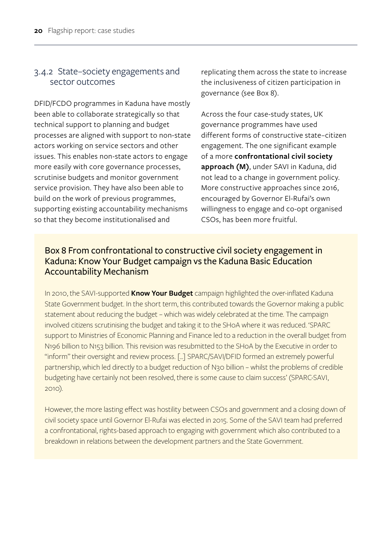#### 3.4.2 State–society engagements and sector outcomes

DFID/FCDO programmes in Kaduna have mostly been able to collaborate strategically so that technical support to planning and budget processes are aligned with support to non-state actors working on service sectors and other issues. This enables non-state actors to engage more easily with core governance processes, scrutinise budgets and monitor government service provision. They have also been able to build on the work of previous programmes, supporting existing accountability mechanisms so that they become institutionalised and

replicating them across the state to increase the inclusiveness of citizen participation in governance (see Box 8).

Across the four case-study states, UK governance programmes have used different forms of constructive state–citizen engagement. The one significant example of a more **confrontational civil society approach (M)**, under SAVI in Kaduna, did not lead to a change in government policy. More constructive approaches since 2016, encouraged by Governor El-Rufai's own willingness to engage and co-opt organised CSOs, has been more fruitful.

## Box 8 From confrontational to constructive civil society engagement in Kaduna: Know Your Budget campaign vs the Kaduna Basic Education Accountability Mechanism

In 2010, the SAVI-supported **Know Your Budget** campaign highlighted the over-inflated Kaduna State Government budget. In the short term, this contributed towards the Governor making a public statement about reducing the budget – which was widely celebrated at the time. The campaign involved citizens scrutinising the budget and taking it to the SHoA where it was reduced. 'SPARC support to Ministries of Economic Planning and Finance led to a reduction in the overall budget from N196 billion to N153 billion. This revision was resubmitted to the SHoA by the Executive in order to "inform" their oversight and review process. […] SPARC/SAVI/DFID formed an extremely powerful partnership, which led directly to a budget reduction of N30 billion – whilst the problems of credible budgeting have certainly not been resolved, there is some cause to claim success' (SPARC-SAVI, 2010).

However, the more lasting effect was hostility between CSOs and government and a closing down of civil society space until Governor El-Rufai was elected in 2015. Some of the SAVI team had preferred a confrontational, rights-based approach to engaging with government which also contributed to a breakdown in relations between the development partners and the State Government.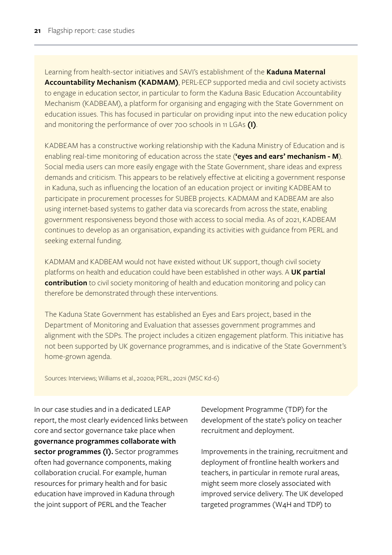Learning from health-sector initiatives and SAVI's establishment of the **Kaduna Maternal Accountability Mechanism (KADMAM)**, PERL-ECP supported media and civil society activists to engage in education sector, in particular to form the Kaduna Basic Education Accountability Mechanism (KADBEAM), a platform for organising and engaging with the State Government on education issues. This has focused in particular on providing input into the new education policy and monitoring the performance of over 700 schools in 11 LGAs **(I)**.

KADBEAM has a constructive working relationship with the Kaduna Ministry of Education and is enabling real-time monitoring of education across the state (**'eyes and ears' mechanism - M**). Social media users can more easily engage with the State Government, share ideas and express demands and criticism. This appears to be relatively effective at eliciting a government response in Kaduna, such as influencing the location of an education project or inviting KADBEAM to participate in procurement processes for SUBEB projects. KADMAM and KADBEAM are also using internet-based systems to gather data via scorecards from across the state, enabling government responsiveness beyond those with access to social media. As of 2021, KADBEAM continues to develop as an organisation, expanding its activities with guidance from PERL and seeking external funding.

KADMAM and KADBEAM would not have existed without UK support, though civil society platforms on health and education could have been established in other ways. A **UK partial contribution** to civil society monitoring of health and education monitoring and policy can therefore be demonstrated through these interventions.

The Kaduna State Government has established an Eyes and Ears project, based in the Department of Monitoring and Evaluation that assesses government programmes and alignment with the SDPs. The project includes a citizen engagement platform. This initiative has not been supported by UK governance programmes, and is indicative of the State Government's home-grown agenda.

Sources: Interviews; Williams et al., 2020a; PERL, 2021i (MSC Kd-6)

In our case studies and in a dedicated LEAP report, the most clearly evidenced links between core and sector governance take place when **governance programmes collaborate with sector programmes (I).** Sector programmes often had governance components, making collaboration crucial. For example, human resources for primary health and for basic education have improved in Kaduna through the joint support of PERL and the Teacher

Development Programme (TDP) for the development of the state's policy on teacher recruitment and deployment.

Improvements in the training, recruitment and deployment of frontline health workers and teachers, in particular in remote rural areas, might seem more closely associated with improved service delivery. The UK developed targeted programmes (W4H and TDP) to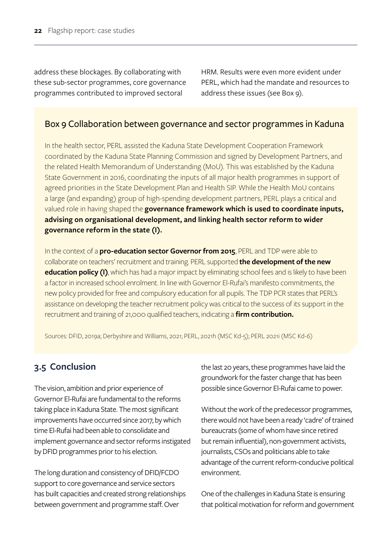address these blockages. By collaborating with these sub-sector programmes, core governance programmes contributed to improved sectoral

HRM. Results were even more evident under PERL, which had the mandate and resources to address these issues (see Box 9).

### Box 9 Collaboration between governance and sector programmes in Kaduna

In the health sector, PERL assisted the Kaduna State Development Cooperation Framework coordinated by the Kaduna State Planning Commission and signed by Development Partners, and the related Health Memorandum of Understanding (MoU). This was established by the Kaduna State Government in 2016, coordinating the inputs of all major health programmes in support of agreed priorities in the State Development Plan and Health SIP. While the Health MoU contains a large (and expanding) group of high-spending development partners, PERL plays a critical and valued role in having shaped the **governance framework which is used to coordinate inputs, advising on organisational development, and linking health sector reform to wider governance reform in the state (I).**

In the context of a **pro-education sector Governor from 2015**, PERL and TDP were able to collaborate on teachers' recruitment and training. PERL supported **the development of the new education policy (I)**, which has had a major impact by eliminating school fees and is likely to have been a factor in increased school enrolment. In line with Governor El-Rufai's manifesto commitments, the new policy provided for free and compulsory education for all pupils. The TDP PCR states that PERL's assistance on developing the teacher recruitment policy was critical to the success of its support in the recruitment and training of 21,000 qualified teachers, indicating a **firm contribution.**

Sources: DFID, 2019a; Derbyshire and Williams, 2021; PERL, 2021h (MSC Kd-5); PERL 2021i (MSC Kd-6)

# **3.5 Conclusion**

The vision, ambition and prior experience of Governor El-Rufai are fundamental to the reforms taking place in Kaduna State. The most significant improvements have occurred since 2017, by which time El-Rufai had been able to consolidate and implement governance and sector reforms instigated by DFID programmes prior to his election.

The long duration and consistency of DFID/FCDO support to core governance and service sectors has built capacities and created strong relationships between government and programme staff. Over

the last 20 years, these programmes have laid the groundwork for the faster change that has been possible since Governor El-Rufai came to power.

Without the work of the predecessor programmes, there would not have been a ready 'cadre' of trained bureaucrats (some of whom have since retired but remain influential), non-government activists, journalists, CSOs and politicians able to take advantage of the current reform-conducive political environment.

One of the challenges in Kaduna State is ensuring that political motivation for reform and government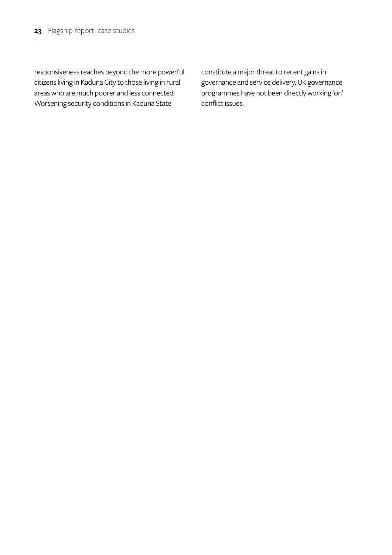responsiveness reaches beyond the more powerful citizens living in Kaduna City to those living in rural areas who are much poorer and less connected. Worsening security conditions in Kaduna State

constitute a major threat to recent gains in governance and service delivery. UK governance programmes have not been directly working 'on' conflict issues.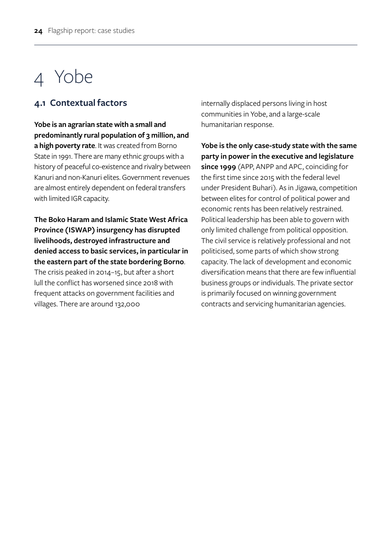# 4 Yobe

# **4.1 Contextual factors**

**Yobe is an agrarian state with a small and predominantly rural population of 3 million, and a high poverty rate**. It was created from Borno State in 1991. There are many ethnic groups with a history of peaceful co-existence and rivalry between Kanuri and non-Kanuri elites. Government revenues are almost entirely dependent on federal transfers with limited IGR capacity.

**The Boko Haram and Islamic State West Africa Province (ISWAP) insurgency has disrupted livelihoods, destroyed infrastructure and denied access to basic services, in particular in the eastern part of the state bordering Borno**.

The crisis peaked in 2014–15, but after a short lull the conflict has worsened since 2018 with frequent attacks on government facilities and villages. There are around 132,000

internally displaced persons living in host communities in Yobe, and a large-scale humanitarian response.

**Yobe is the only case-study state with the same party in power in the executive and legislature since 1999** (APP, ANPP and APC, coinciding for the first time since 2015 with the federal level under President Buhari). As in Jigawa, competition between elites for control of political power and economic rents has been relatively restrained. Political leadership has been able to govern with only limited challenge from political opposition. The civil service is relatively professional and not politicised, some parts of which show strong capacity. The lack of development and economic diversification means that there are few influential business groups or individuals. The private sector is primarily focused on winning government contracts and servicing humanitarian agencies.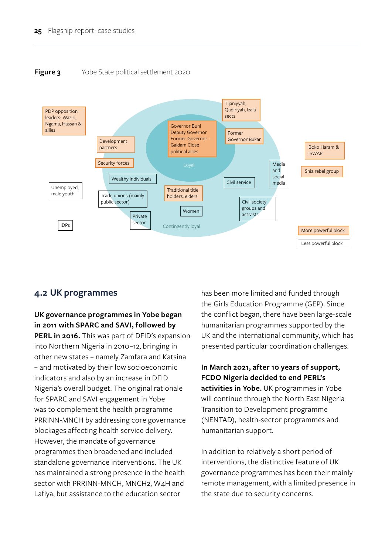**Figure 3** Yobe State political settlement 2020



## **4.2 UK programmes**

**UK governance programmes in Yobe began in 2011 with SPARC and SAVI, followed by PERL in 2016.** This was part of DFID's expansion into Northern Nigeria in 2010–12, bringing in other new states – namely Zamfara and Katsina – and motivated by their low socioeconomic indicators and also by an increase in DFID Nigeria's overall budget. The original rationale for SPARC and SAVI engagement in Yobe was to complement the health programme PRRINN-MNCH by addressing core governance blockages affecting health service delivery. However, the mandate of governance programmes then broadened and included standalone governance interventions. The UK has maintained a strong presence in the health sector with PRRINN-MNCH, MNCH2, W4H and Lafiya, but assistance to the education sector

has been more limited and funded through the Girls Education Programme (GEP). Since the conflict began, there have been large-scale humanitarian programmes supported by the UK and the international community, which has presented particular coordination challenges.

**In March 2021, after 10 years of support, FCDO Nigeria decided to end PERL's activities in Yobe.** UK programmes in Yobe will continue through the North East Nigeria Transition to Development programme (NENTAD), health-sector programmes and humanitarian support.

In addition to relatively a short period of interventions, the distinctive feature of UK governance programmes has been their mainly remote management, with a limited presence in the state due to security concerns.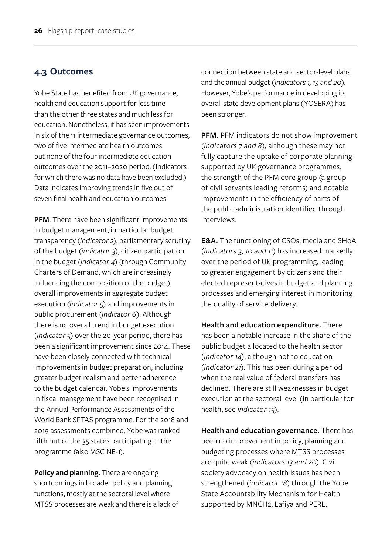#### **4.3 Outcomes**

Yobe State has benefited from UK governance, health and education support for less time than the other three states and much less for education. Nonetheless, it has seen improvements in six of the 11 intermediate governance outcomes, two of five intermediate health outcomes but none of the four intermediate education outcomes over the 2011–2020 period. (Indicators for which there was no data have been excluded.) Data indicates improving trends in five out of seven final health and education outcomes.

**PFM**. There have been significant improvements in budget management, in particular budget transparency (*indicator 2*), parliamentary scrutiny of the budget (*indicator 3*), citizen participation in the budget (*indicator 4*) (through Community Charters of Demand, which are increasingly influencing the composition of the budget), overall improvements in aggregate budget execution (*indicator 5*) and improvements in public procurement (*indicator 6*). Although there is no overall trend in budget execution (*indicator 5*) over the 20-year period, there has been a significant improvement since 2014. These have been closely connected with technical improvements in budget preparation, including greater budget realism and better adherence to the budget calendar. Yobe's improvements in fiscal management have been recognised in the Annual Performance Assessments of the World Bank SFTAS programme. For the 2018 and 2019 assessments combined, Yobe was ranked fifth out of the 35 states participating in the programme (also MSC NE-1).

**Policy and planning.** There are ongoing shortcomings in broader policy and planning functions, mostly at the sectoral level where MTSS processes are weak and there is a lack of connection between state and sector-level plans and the annual budget (*indicators 1, 13 and 20*). However, Yobe's performance in developing its overall state development plans (YOSERA) has been stronger.

**PFM.** PFM indicators do not show improvement (*indicators 7 and 8*), although these may not fully capture the uptake of corporate planning supported by UK governance programmes, the strength of the PFM core group (a group of civil servants leading reforms) and notable improvements in the efficiency of parts of the public administration identified through interviews.

**E&A.** The functioning of CSOs, media and SHoA (*indicators 3, 10 and 11*) has increased markedly over the period of UK programming, leading to greater engagement by citizens and their elected representatives in budget and planning processes and emerging interest in monitoring the quality of service delivery.

**Health and education expenditure.** There has been a notable increase in the share of the public budget allocated to the health sector (*indicator 14*), although not to education (*indicator 21*). This has been during a period when the real value of federal transfers has declined. There are still weaknesses in budget execution at the sectoral level (in particular for health, see *indicator 15*).

**Health and education governance.** There has been no improvement in policy, planning and budgeting processes where MTSS processes are quite weak (*indicators 13 and 20*). Civil society advocacy on health issues has been strengthened (*indicator 18*) through the Yobe State Accountability Mechanism for Health supported by MNCH2, Lafiya and PERL.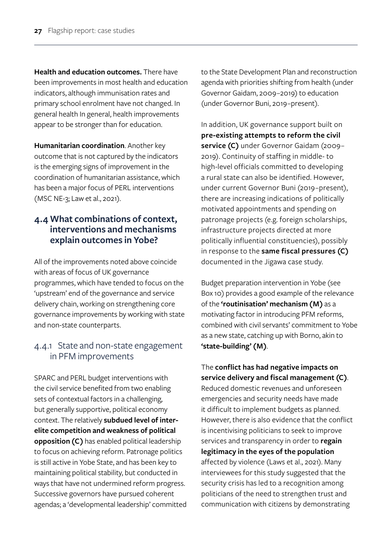**Health and education outcomes.** There have been improvements in most health and education indicators, although immunisation rates and primary school enrolment have not changed. In general health In general, health improvements appear to be stronger than for education.

**Humanitarian coordination**. Another key outcome that is not captured by the indicators is the emerging signs of improvement in the coordination of humanitarian assistance, which has been a major focus of PERL interventions (MSC NE-3; Law et al., 2021).

# **4.4 What combinations of context, interventions and mechanisms explain outcomes in Yobe?**

All of the improvements noted above coincide with areas of focus of UK governance programmes, which have tended to focus on the 'upstream' end of the governance and service delivery chain, working on strengthening core governance improvements by working with state and non-state counterparts.

## 4.4.1 State and non-state engagement in PFM improvements

SPARC and PERL budget interventions with the civil service benefited from two enabling sets of contextual factors in a challenging, but generally supportive, political economy context. The relatively **subdued level of interelite competition and weakness of political opposition (C)** has enabled political leadership to focus on achieving reform. Patronage politics is still active in Yobe State, and has been key to maintaining political stability, but conducted in ways that have not undermined reform progress. Successive governors have pursued coherent agendas; a 'developmental leadership' committed to the State Development Plan and reconstruction agenda with priorities shifting from health (under Governor Gaidam, 2009–2019) to education (under Governor Buni, 2019–present).

In addition, UK governance support built on **pre-existing attempts to reform the civil service (C)** under Governor Gaidam (2009– 2019). Continuity of staffing in middle- to high-level officials committed to developing a rural state can also be identified. However, under current Governor Buni (2019–present), there are increasing indications of politically motivated appointments and spending on patronage projects (e.g. foreign scholarships, infrastructure projects directed at more politically influential constituencies), possibly in response to the **same fiscal pressures (C)** documented in the Jigawa case study.

Budget preparation intervention in Yobe (see Box 10) provides a good example of the relevance of the **'routinisation' mechanism (M)** as a motivating factor in introducing PFM reforms, combined with civil servants' commitment to Yobe as a new state, catching up with Borno, akin to **'state-building' (M)**.

### The **conflict has had negative impacts on service delivery and fiscal management (C)**.

Reduced domestic revenues and unforeseen emergencies and security needs have made it difficult to implement budgets as planned. However, there is also evidence that the conflict is incentivising politicians to seek to improve services and transparency in order to **regain legitimacy in the eyes of the population** affected by violence (Laws et al., 2021). Many interviewees for this study suggested that the security crisis has led to a recognition among politicians of the need to strengthen trust and communication with citizens by demonstrating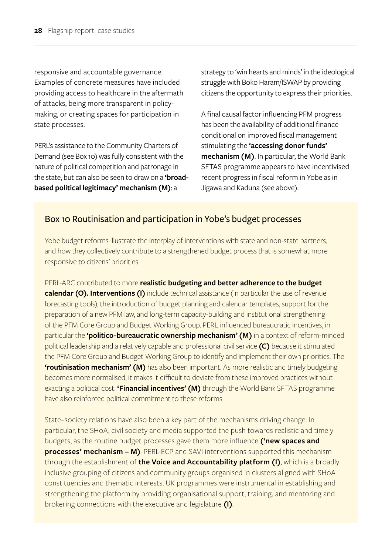responsive and accountable governance. Examples of concrete measures have included providing access to healthcare in the aftermath of attacks, being more transparent in policymaking, or creating spaces for participation in state processes.

PERL's assistance to the Community Charters of Demand (see Box 10) was fully consistent with the nature of political competition and patronage in the state, but can also be seen to draw on a **'broadbased political legitimacy' mechanism (M)**: a

strategy to 'win hearts and minds' in the ideological struggle with Boko Haram/ISWAP by providing citizens the opportunity to express their priorities.

A final causal factor influencing PFM progress has been the availability of additional finance conditional on improved fiscal management stimulating the **'accessing donor funds' mechanism (M)**. In particular, the World Bank SFTAS programme appears to have incentivised recent progress in fiscal reform in Yobe as in Jigawa and Kaduna (see above).

### Box 10 Routinisation and participation in Yobe's budget processes

Yobe budget reforms illustrate the interplay of interventions with state and non-state partners, and how they collectively contribute to a strengthened budget process that is somewhat more responsive to citizens' priorities.

PERL-ARC contributed to more **realistic budgeting and better adherence to the budget calendar (O). Interventions (I)** include technical assistance (in particular the use of revenue forecasting tools), the introduction of budget planning and calendar templates, support for the preparation of a new PFM law, and long-term capacity-building and institutional strengthening of the PFM Core Group and Budget Working Group. PERL influenced bureaucratic incentives, in particular the **'politico-bureaucratic ownership mechanism' (M)** in a context of reform-minded political leadership and a relatively capable and professional civil service **(C)** because it stimulated the PFM Core Group and Budget Working Group to identify and implement their own priorities. The **'routinisation mechanism' (M)** has also been important. As more realistic and timely budgeting becomes more normalised, it makes it difficult to deviate from these improved practices without exacting a political cost. **'Financial incentives' (M)** through the World Bank SFTAS programme have also reinforced political commitment to these reforms.

State–society relations have also been a key part of the mechanisms driving change. In particular, the SHoA, civil society and media supported the push towards realistic and timely budgets, as the routine budget processes gave them more influence **('new spaces and processes' mechanism – M)**. PERL-ECP and SAVI interventions supported this mechanism through the establishment of **the Voice and Accountability platform (I)**, which is a broadly inclusive grouping of citizens and community groups organised in clusters aligned with SHoA constituencies and thematic interests. UK programmes were instrumental in establishing and strengthening the platform by providing organisational support, training, and mentoring and brokering connections with the executive and legislature **(I)**.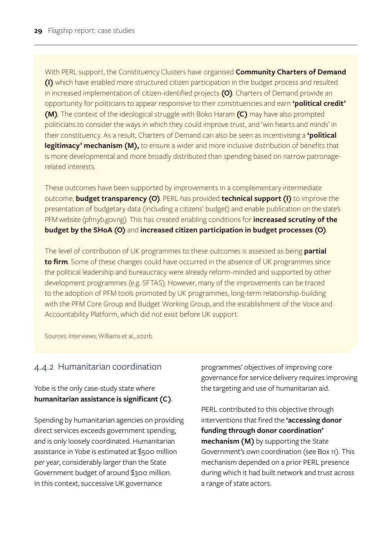With PERL support, the Constituency Clusters have organised **Community Charters of Demand (I)** which have enabled more structured citizen participation in the budget process and resulted in increased implementation of citizen-identified projects **(O)**. Charters of Demand provide an opportunity for politicians to appear responsive to their constituencies and earn **'political credit' (M)**. The context of the ideological struggle with Boko Haram **(C)** may have also prompted politicians to consider the ways in which they could improve trust, and 'win hearts and minds' in their constituency. As a result, Charters of Demand can also be seen as incentivising a **'political legitimacy' mechanism (M),** to ensure a wider and more inclusive distribution of benefits that is more developmental and more broadly distributed than spending based on narrow patronagerelated interests.

These outcomes have been supported by improvements in a complementary intermediate outcome, **budget transparency (O)**. PERL has provided **technical support (I)** to improve the presentation of budgetary data (including a citizens' budget) and enable publication on the state's PFM website (pfm.yb.gov.ng). This has created enabling conditions for **increased scrutiny of the budget by the SHoA (O)** and **increased citizen participation in budget processes (O)**.

The level of contribution of UK programmes to these outcomes is assessed as being **partial to firm**. Some of these changes could have occurred in the absence of UK programmes since the political leadership and bureaucracy were already reform-minded and supported by other development programmes (e.g. SFTAS). However, many of the improvements can be traced to the adoption of PFM tools promoted by UK programmes, long-term relationship-building with the PFM Core Group and Budget Working Group, and the establishment of the Voice and Accountability Platform, which did not exist before UK support.

Sources: Interviews; Williams et al., 2021b

## 4.4.2 Humanitarian coordination

### Yobe is the only case-study state where **humanitarian assistance is significant (C)**.

Spending by humanitarian agencies on providing direct services exceeds government spending, and is only loosely coordinated. Humanitarian assistance in Yobe is estimated at \$500 million per year, considerably larger than the State Government budget of around \$300 million. In this context, successive UK governance

programmes' objectives of improving core governance for service delivery requires improving the targeting and use of humanitarian aid.

PERL contributed to this objective through interventions that fired the **'accessing donor funding through donor coordination' mechanism (M)** by supporting the State Government's own coordination (see Box 11). This mechanism depended on a prior PERL presence during which it had built network and trust across a range of state actors.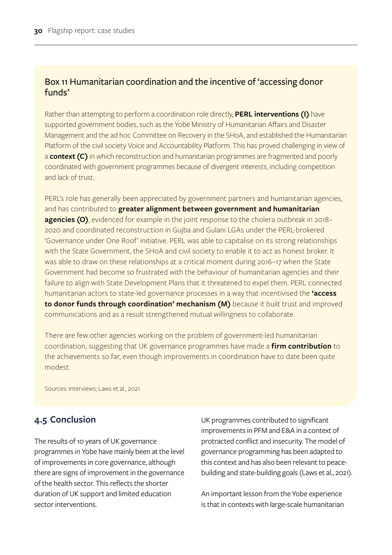# Box 11 Humanitarian coordination and the incentive of 'accessing donor funds'

Rather than attempting to perform a coordination role directly, **PERL interventions (I)** have supported government bodies, such as the Yobe Ministry of Humanitarian Affairs and Disaster Management and the ad hoc Committee on Recovery in the SHoA, and established the Humanitarian Platform of the civil society Voice and Accountability Platform. This has proved challenging in view of a **context (C)** in which reconstruction and humanitarian programmes are fragmented and poorly coordinated with government programmes because of divergent interests, including competition and lack of trust.

PERL's role has generally been appreciated by government partners and humanitarian agencies, and has contributed to **greater alignment between government and humanitarian agencies (O)**, evidenced for example in the joint response to the cholera outbreak in 2018– 2020 and coordinated reconstruction in Gujba and Gulani LGAs under the PERL-brokered 'Governance under One Roof' initiative. PERL was able to capitalise on its strong relationships with the State Government, the SHoA and civil society to enable it to act as honest broker. It was able to draw on these relationships at a critical moment during 2016–17 when the State Government had become so frustrated with the behaviour of humanitarian agencies and their failure to align with State Development Plans that it threatened to expel them. PERL connected humanitarian actors to state-led governance processes in a way that incentivised the **'access to donor funds through coordination' mechanism (M)** because it built trust and improved communications and as a result strengthened mutual willingness to collaborate.

There are few other agencies working on the problem of government-led humanitarian coordination, suggesting that UK governance programmes have made a **firm contribution** to the achievements so far, even though improvements in coordination have to date been quite modest.

Sources: Interviews; Laws et al., 2021

# **4.5 Conclusion**

The results of 10 years of UK governance programmes in Yobe have mainly been at the level of improvements in core governance, although there are signs of improvement in the governance of the health sector. This reflects the shorter duration of UK support and limited education sector interventions.

UK programmes contributed to significant improvements in PFM and E&A in a context of protracted conflict and insecurity. The model of governance programming has been adapted to this context and has also been relevant to peacebuilding and state-building goals (Laws et al., 2021).

An important lesson from the Yobe experience is that in contexts with large-scale humanitarian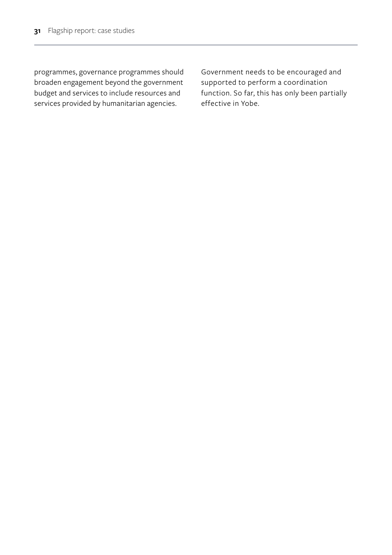programmes, governance programmes should broaden engagement beyond the government budget and services to include resources and services provided by humanitarian agencies.

Government needs to be encouraged and supported to perform a coordination function. So far, this has only been partially effective in Yobe.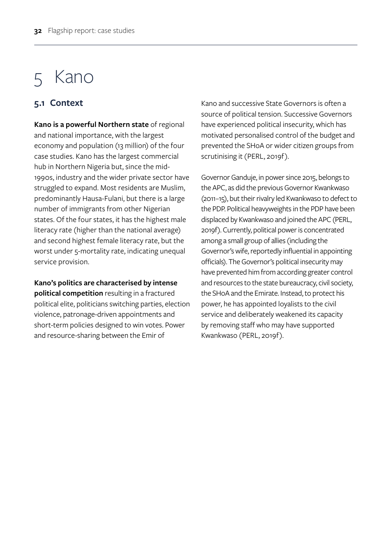# Kano

## **5.1 Context**

**Kano is a powerful Northern state** of regional and national importance, with the largest economy and population (13 million) of the four case studies. Kano has the largest commercial hub in Northern Nigeria but, since the mid-1990s, industry and the wider private sector have struggled to expand. Most residents are Muslim, predominantly Hausa-Fulani, but there is a large number of immigrants from other Nigerian states. Of the four states, it has the highest male literacy rate (higher than the national average) and second highest female literacy rate, but the worst under 5-mortality rate, indicating unequal service provision.

**Kano's politics are characterised by intense political competition** resulting in a fractured political elite, politicians switching parties, election violence, patronage-driven appointments and short-term policies designed to win votes. Power and resource-sharing between the Emir of

Kano and successive State Governors is often a source of political tension. Successive Governors have experienced political insecurity, which has motivated personalised control of the budget and prevented the SHoA or wider citizen groups from scrutinising it (PERL, 2019f).

Governor Ganduje, in power since 2015, belongs to the APC, as did the previous Governor Kwankwaso (2011–15), but their rivalry led Kwankwaso to defect to the PDP. Political heavyweights in the PDP have been displaced by Kwankwaso and joined the APC (PERL, 2019f). Currently, political power is concentrated among a small group of allies (including the Governor's wife, reportedly influential in appointing officials). The Governor's political insecurity may have prevented him from according greater control and resources to the state bureaucracy, civil society, the SHoA and the Emirate. Instead, to protect his power, he has appointed loyalists to the civil service and deliberately weakened its capacity by removing staff who may have supported Kwankwaso (PERL, 2019f).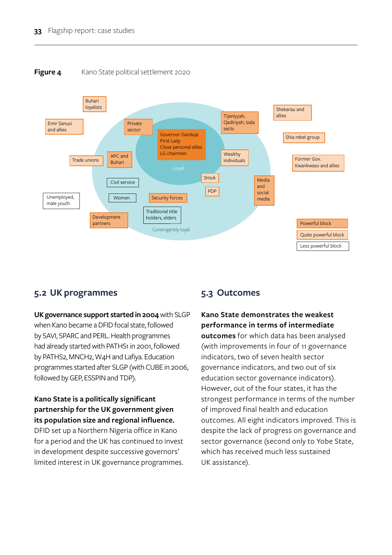

**Figure 4** Kano State political settlement 2020

## **5.2 UK programmes**

**UK governance support started in 2004** with SLGP when Kano became a DFID focal state, followed by SAVI, SPARC and PERL. Health programmes had already started with PATHS1 in 2001, followed by PATHS2, MNCH2, W4H and Lafiya. Education programmes started after SLGP (with CUBE in 2006, followed by GEP, ESSPIN and TDP).

### **Kano State is a politically significant partnership for the UK government given its population size and regional influence.**

DFID set up a Northern Nigeria office in Kano for a period and the UK has continued to invest in development despite successive governors' limited interest in UK governance programmes.

# **5.3 Outcomes**

**Kano State demonstrates the weakest performance in terms of intermediate outcomes** for which data has been analysed (with improvements in four of 11 governance indicators, two of seven health sector governance indicators, and two out of six education sector governance indicators). However, out of the four states, it has the strongest performance in terms of the number of improved final health and education outcomes. All eight indicators improved. This is despite the lack of progress on governance and sector governance (second only to Yobe State, which has received much less sustained UK assistance).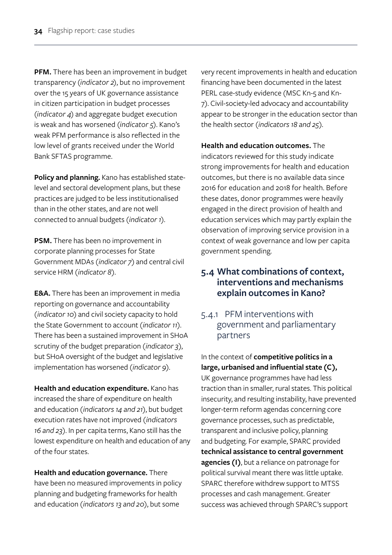**PFM.** There has been an improvement in budget transparency (*indicator 2*), but no improvement over the 15 years of UK governance assistance in citizen participation in budget processes (*indicator 4*) and aggregate budget execution is weak and has worsened (*indicator 5*). Kano's weak PFM performance is also reflected in the low level of grants received under the World Bank SFTAS programme.

**Policy and planning.** Kano has established statelevel and sectoral development plans, but these practices are judged to be less institutionalised than in the other states, and are not well connected to annual budgets (*indicator 1*).

**PSM.** There has been no improvement in corporate planning processes for State Government MDAs (*indicator 7*) and central civil service HRM (*indicator 8*).

**E&A.** There has been an improvement in media reporting on governance and accountability (*indicator 10*) and civil society capacity to hold the State Government to account (*indicator 11*). There has been a sustained improvement in SHoA scrutiny of the budget preparation (*indicator 3*), but SHoA oversight of the budget and legislative implementation has worsened (*indicator 9*).

**Health and education expenditure.** Kano has increased the share of expenditure on health and education (*indicators 14 and 21*), but budget execution rates have not improved (*indicators 16 and 23*). In per capita terms, Kano still has the lowest expenditure on health and education of any of the four states.

**Health and education governance.** There have been no measured improvements in policy planning and budgeting frameworks for health and education (*indicators 13 and 20*), but some

very recent improvements in health and education financing have been documented in the latest PERL case-study evidence (MSC Kn-5 and Kn-7). Civil-society-led advocacy and accountability appear to be stronger in the education sector than the health sector (*indicators 18 and 25*).

**Health and education outcomes.** The indicators reviewed for this study indicate strong improvements for health and education outcomes, but there is no available data since 2016 for education and 2018 for health. Before these dates, donor programmes were heavily engaged in the direct provision of health and education services which may partly explain the observation of improving service provision in a context of weak governance and low per capita government spending.

## **5.4 What combinations of context, interventions and mechanisms explain outcomes in Kano?**

## 5.4.1 PFM interventions with government and parliamentary partners

## In the context of **competitive politics in a large, urbanised and influential state (C),**

UK governance programmes have had less traction than in smaller, rural states. This political insecurity, and resulting instability, have prevented longer-term reform agendas concerning core governance processes, such as predictable, transparent and inclusive policy, planning and budgeting. For example, SPARC provided **technical assistance to central government agencies (I)**, but a reliance on patronage for political survival meant there was little uptake. SPARC therefore withdrew support to MTSS processes and cash management. Greater success was achieved through SPARC's support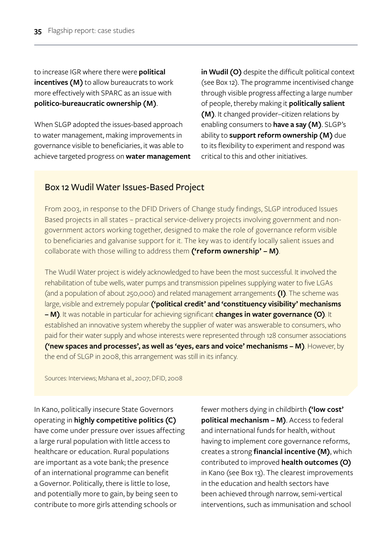to increase IGR where there were **political incentives (M)** to allow bureaucrats to work more effectively with SPARC as an issue with **politico-bureaucratic ownership (M)**.

When SLGP adopted the issues-based approach to water management, making improvements in governance visible to beneficiaries, it was able to achieve targeted progress on **water management**  **in Wudil (O)** despite the difficult political context (see Box 12). The programme incentivised change through visible progress affecting a large number of people, thereby making it **politically salient (M)**. It changed provider–citizen relations by enabling consumers to **have a say (M)**. SLGP's ability to **support reform ownership (M)** due to its flexibility to experiment and respond was critical to this and other initiatives.

# Box 12 Wudil Water Issues-Based Project

From 2003, in response to the DFID Drivers of Change study findings, SLGP introduced Issues Based projects in all states – practical service-delivery projects involving government and nongovernment actors working together, designed to make the role of governance reform visible to beneficiaries and galvanise support for it. The key was to identify locally salient issues and collaborate with those willing to address them **('reform ownership' – M)**.

The Wudil Water project is widely acknowledged to have been the most successful. It involved the rehabilitation of tube wells, water pumps and transmission pipelines supplying water to five LGAs (and a population of about 250,000) and related management arrangements **(I)**. The scheme was large, visible and extremely popular **('political credit' and 'constituency visibility' mechanisms – M)**. It was notable in particular for achieving significant **changes in water governance (O)**. It established an innovative system whereby the supplier of water was answerable to consumers, who paid for their water supply and whose interests were represented through 128 consumer associations **('new spaces and processes', as well as 'eyes, ears and voice' mechanisms – M)**. However, by the end of SLGP in 2008, this arrangement was still in its infancy.

Sources: Interviews; Mshana et al., 2007; DFID, 2008

In Kano, politically insecure State Governors operating in **highly competitive politics (C)** have come under pressure over issues affecting a large rural population with little access to healthcare or education. Rural populations are important as a vote bank; the presence of an international programme can benefit a Governor. Politically, there is little to lose, and potentially more to gain, by being seen to contribute to more girls attending schools or

fewer mothers dying in childbirth **('low cost' political mechanism – M)**. Access to federal and international funds for health, without having to implement core governance reforms, creates a strong **financial incentive (M)**, which contributed to improved **health outcomes (O)** in Kano (see Box 13). The clearest improvements in the education and health sectors have been achieved through narrow, semi-vertical interventions, such as immunisation and school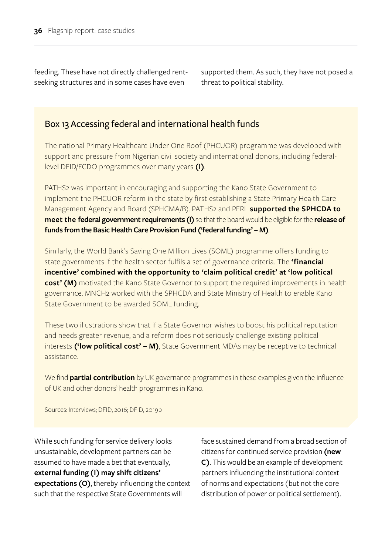feeding. These have not directly challenged rentseeking structures and in some cases have even

supported them. As such, they have not posed a threat to political stability.

## Box 13 Accessing federal and international health funds

The national Primary Healthcare Under One Roof (PHCUOR) programme was developed with support and pressure from Nigerian civil society and international donors, including federallevel DFID/FCDO programmes over many years **(I)**.

PATHS2 was important in encouraging and supporting the Kano State Government to implement the PHCUOR reform in the state by first establishing a State Primary Health Care Management Agency and Board (SPHCMA/B). PATHS2 and PERL **supported the SPHCDA to meet the federal government requirements (I)** so that the board would be eligible for the **release of funds from the Basic Health Care Provision Fund ('federal funding' – M)**.

Similarly, the World Bank's Saving One Million Lives (SOML) programme offers funding to state governments if the health sector fulfils a set of governance criteria. The **'financial incentive' combined with the opportunity to 'claim political credit' at 'low political cost' (M)** motivated the Kano State Governor to support the required improvements in health governance. MNCH2 worked with the SPHCDA and State Ministry of Health to enable Kano State Government to be awarded SOML funding.

These two illustrations show that if a State Governor wishes to boost his political reputation and needs greater revenue, and a reform does not seriously challenge existing political interests **('low political cost' – M)**, State Government MDAs may be receptive to technical assistance.

We find **partial contribution** by UK governance programmes in these examples given the influence of UK and other donors' health programmes in Kano.

Sources: Interviews; DFID, 2016; DFID, 2019b

While such funding for service delivery looks unsustainable, development partners can be assumed to have made a bet that eventually, **external funding (I) may shift citizens' expectations (O)**, thereby influencing the context such that the respective State Governments will

face sustained demand from a broad section of citizens for continued service provision **(new C)**. This would be an example of development partners influencing the institutional context of norms and expectations (but not the core distribution of power or political settlement).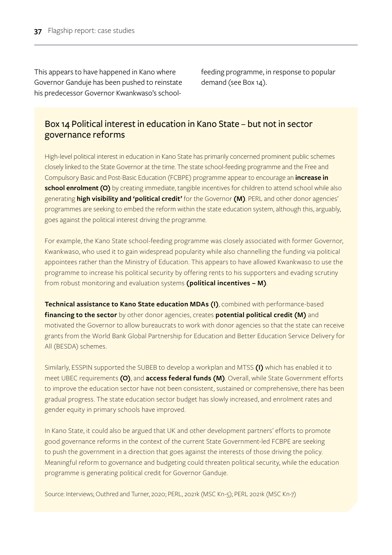This appears to have happened in Kano where Governor Ganduje has been pushed to reinstate his predecessor Governor Kwankwaso's schoolfeeding programme, in response to popular demand (see Box 14).

## Box 14 Political interest in education in Kano State – but not in sector governance reforms

High-level political interest in education in Kano State has primarily concerned prominent public schemes closely linked to the State Governor at the time. The state school-feeding programme and the Free and Compulsory Basic and Post-Basic Education (FCBPE) programme appear to encourage an **increase in school enrolment (O)** by creating immediate, tangible incentives for children to attend school while also generating **high visibility and 'political credit'** for the Governor **(M)**. PERL and other donor agencies' programmes are seeking to embed the reform within the state education system, although this, arguably, goes against the political interest driving the programme.

For example, the Kano State school-feeding programme was closely associated with former Governor, Kwankwaso, who used it to gain widespread popularity while also channelling the funding via political appointees rather than the Ministry of Education. This appears to have allowed Kwankwaso to use the programme to increase his political security by offering rents to his supporters and evading scrutiny from robust monitoring and evaluation systems **(political incentives – M)**.

**Technical assistance to Kano State education MDAs (I)**, combined with performance-based **financing to the sector** by other donor agencies, creates **potential political credit (M)** and motivated the Governor to allow bureaucrats to work with donor agencies so that the state can receive grants from the World Bank Global Partnership for Education and Better Education Service Delivery for All (BESDA) schemes.

Similarly, ESSPIN supported the SUBEB to develop a workplan and MTSS **(I)** which has enabled it to meet UBEC requirements **(O)**, and **access federal funds (M)**. Overall, while State Government efforts to improve the education sector have not been consistent, sustained or comprehensive, there has been gradual progress. The state education sector budget has slowly increased, and enrolment rates and gender equity in primary schools have improved.

In Kano State, it could also be argued that UK and other development partners' efforts to promote good governance reforms in the context of the current State Government-led FCBPE are seeking to push the government in a direction that goes against the interests of those driving the policy. Meaningful reform to governance and budgeting could threaten political security, while the education programme is generating political credit for Governor Ganduje.

Source: Interviews; Outhred and Turner, 2020; PERL, 2021k (MSC Kn-5); PERL 2021k (MSC Kn-7)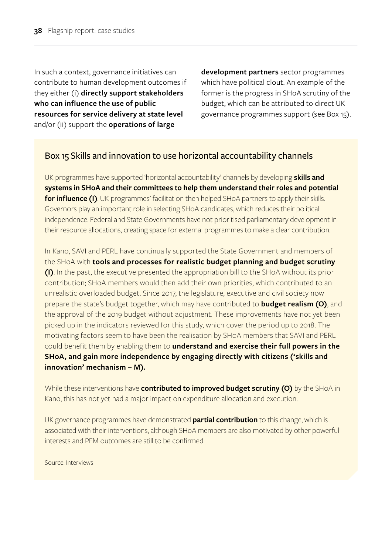In such a context, governance initiatives can contribute to human development outcomes if they either (i) **directly support stakeholders who can influence the use of public resources for service delivery at state level** and/or (ii) support the **operations of large** 

**development partners** sector programmes which have political clout. An example of the former is the progress in SHoA scrutiny of the budget, which can be attributed to direct UK governance programmes support (see Box 15).

# Box 15 Skills and innovation to use horizontal accountability channels

UK programmes have supported 'horizontal accountability' channels by developing **skills and systems in SHoA and their committees to help them understand their roles and potential for influence (I)**. UK programmes' facilitation then helped SHoA partners to apply their skills. Governors play an important role in selecting SHoA candidates, which reduces their political independence. Federal and State Governments have not prioritised parliamentary development in their resource allocations, creating space for external programmes to make a clear contribution.

In Kano, SAVI and PERL have continually supported the State Government and members of the SHoA with **tools and processes for realistic budget planning and budget scrutiny (I)**. In the past, the executive presented the appropriation bill to the SHoA without its prior contribution; SHoA members would then add their own priorities, which contributed to an unrealistic overloaded budget. Since 2017, the legislature, executive and civil society now prepare the state's budget together, which may have contributed to **budget realism (O)**, and the approval of the 2019 budget without adjustment. These improvements have not yet been picked up in the indicators reviewed for this study, which cover the period up to 2018. The motivating factors seem to have been the realisation by SHoA members that SAVI and PERL could benefit them by enabling them to **understand and exercise their full powers in the SHoA, and gain more independence by engaging directly with citizens ('skills and innovation' mechanism – M).**

While these interventions have **contributed to improved budget scrutiny (O)** by the SHoA in Kano, this has not yet had a major impact on expenditure allocation and execution.

UK governance programmes have demonstrated **partial contribution** to this change, which is associated with their interventions, although SHoA members are also motivated by other powerful interests and PFM outcomes are still to be confirmed.

Source: Interviews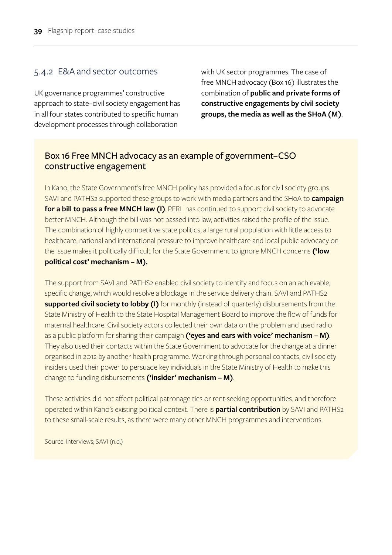#### 5.4.2 E&A and sector outcomes

UK governance programmes' constructive approach to state–civil society engagement has in all four states contributed to specific human development processes through collaboration

with UK sector programmes. The case of free MNCH advocacy (Box 16) illustrates the combination of **public and private forms of constructive engagements by civil society groups, the media as well as the SHoA (M)**.

## Box 16 Free MNCH advocacy as an example of government–CSO constructive engagement

In Kano, the State Government's free MNCH policy has provided a focus for civil society groups. SAVI and PATHS2 supported these groups to work with media partners and the SHoA to **campaign for a bill to pass a free MNCH law (I)**. PERL has continued to support civil society to advocate better MNCH. Although the bill was not passed into law, activities raised the profile of the issue. The combination of highly competitive state politics, a large rural population with little access to healthcare, national and international pressure to improve healthcare and local public advocacy on the issue makes it politically difficult for the State Government to ignore MNCH concerns **('low political cost' mechanism – M).** 

The support from SAVI and PATHS2 enabled civil society to identify and focus on an achievable, specific change, which would resolve a blockage in the service delivery chain. SAVI and PATHS2 **supported civil society to lobby (I)** for monthly (instead of quarterly) disbursements from the State Ministry of Health to the State Hospital Management Board to improve the flow of funds for maternal healthcare. Civil society actors collected their own data on the problem and used radio as a public platform for sharing their campaign **('eyes and ears with voice' mechanism – M)**. They also used their contacts within the State Government to advocate for the change at a dinner organised in 2012 by another health programme. Working through personal contacts, civil society insiders used their power to persuade key individuals in the State Ministry of Health to make this change to funding disbursements **('insider' mechanism – M)**.

These activities did not affect political patronage ties or rent-seeking opportunities, and therefore operated within Kano's existing political context. There is **partial contribution** by SAVI and PATHS2 to these small-scale results, as there were many other MNCH programmes and interventions.

Source: Interviews; SAVI (n.d.)